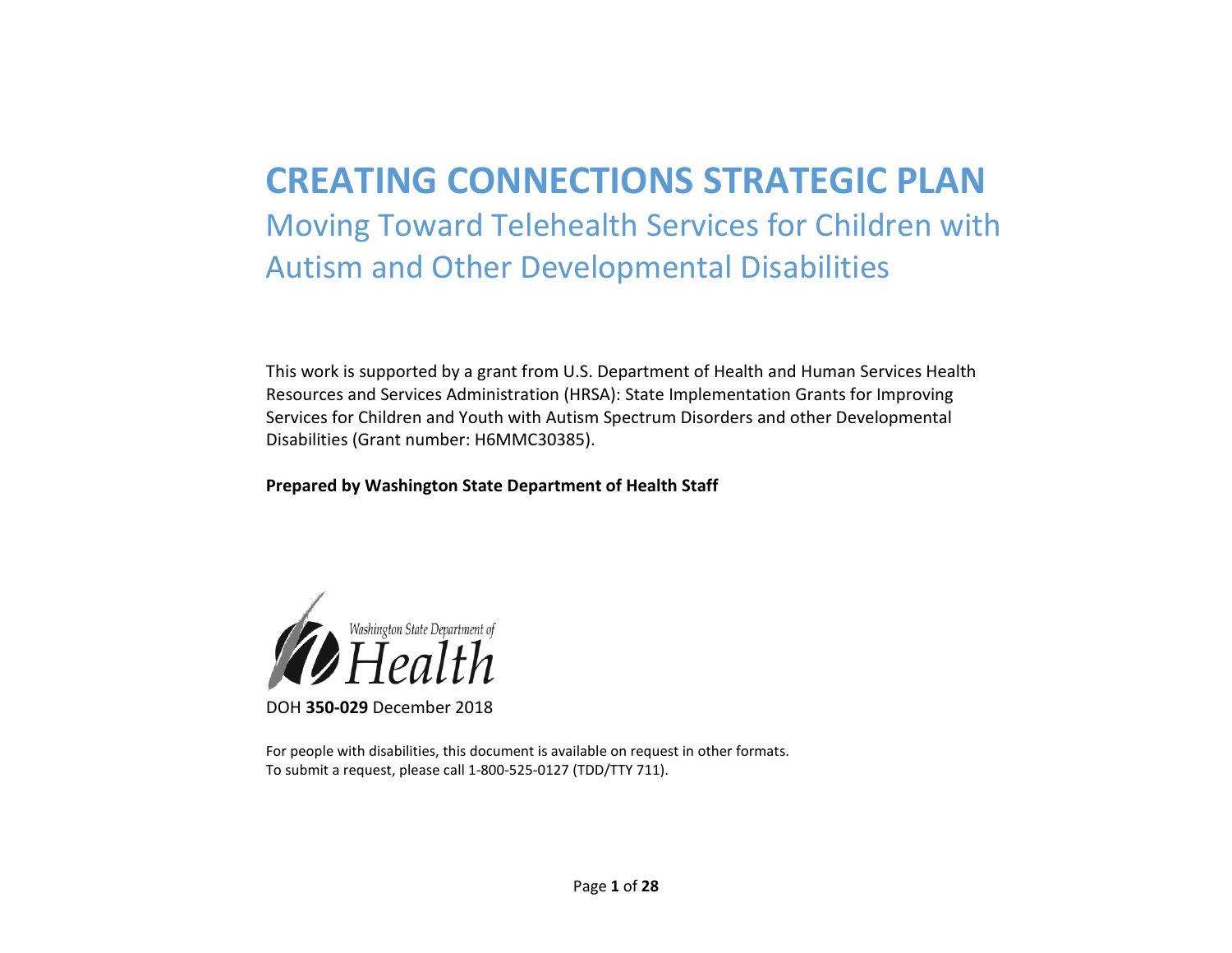# **CREATING CONNECTIONS STRATEGIC PLAN** Moving Toward Telehealth Services for Children with Autism and Other Developmental Disabilities

This work is supported by a grant from U.S. Department of Health and Human Services Health Resources and Services Administration (HRSA): State Implementation Grants for Improving Services for Children and Youth with Autism Spectrum Disorders and other Developmental Disabilities (Grant number: H6MMC30385).

#### **Prepared by Washington State Department of Health Staff**



DOH **350-029** December 2018

For people with disabilities, this document is available on request in other formats. To submit a request, please call 1-800-525-0127 (TDD/TTY 711).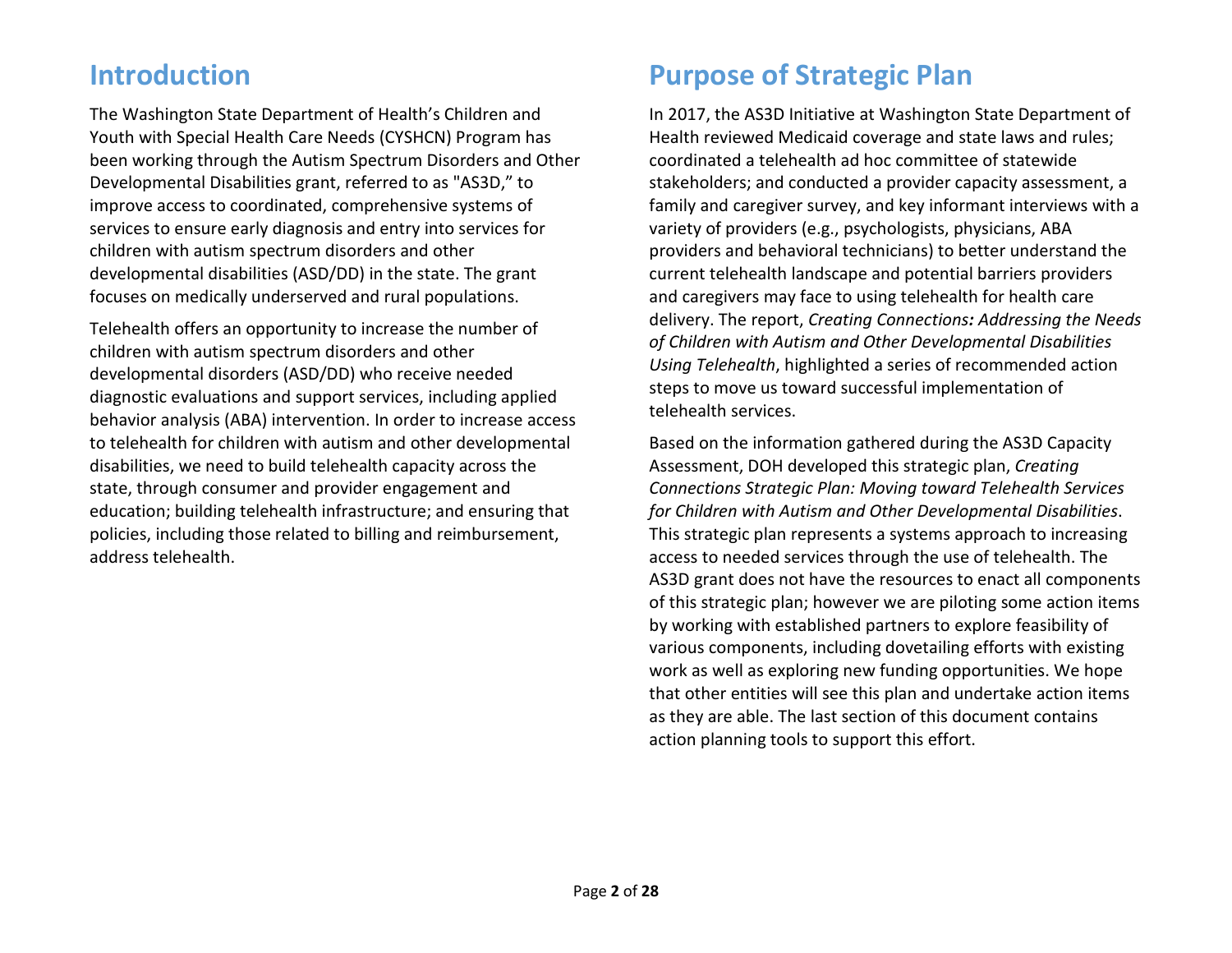## **Introduction**

The Washington State Department of Health's Children and Youth with Special Health Care Needs (CYSHCN) Program has been working through the Autism Spectrum Disorders and Other Developmental Disabilities grant, referred to as "AS3D," to improve access to coordinated, comprehensive systems of services to ensure early diagnosis and entry into services for children with autism spectrum disorders and other developmental disabilities (ASD/DD) in the state. The grant focuses on medically underserved and rural populations.

Telehealth offers an opportunity to increase the number of children with autism spectrum disorders and other developmental disorders (ASD/DD) who receive needed diagnostic evaluations and support services, including applied behavior analysis (ABA) intervention. In order to increase access to telehealth for children with autism and other developmental disabilities, we need to build telehealth capacity across the state, through consumer and provider engagement and education; building telehealth infrastructure; and ensuring that policies, including those related to billing and reimbursement, address telehealth.

## **Purpose of Strategic Plan**

In 2017, the AS3D Initiative at Washington State Department of Health reviewed Medicaid coverage and state laws and rules; coordinated a telehealth ad hoc committee of statewide stakeholders; and conducted a provider capacity assessment, a family and caregiver survey, and key informant interviews with a variety of providers (e.g., psychologists, physicians, ABA providers and behavioral technicians) to better understand the current telehealth landscape and potential barriers providers and caregivers may face to using telehealth for health care delivery. The report, *Creating Connections: Addressing the Needs of Children with Autism and Other Developmental Disabilities Using Telehealth*, highlighted a series of recommended action steps to move us toward successful implementation of telehealth services.

Based on the information gathered during the AS3D Capacity Assessment, DOH developed this strategic plan, *Creating Connections Strategic Plan: Moving toward Telehealth Services for Children with Autism and Other Developmental Disabilities*. This strategic plan represents a systems approach to increasing access to needed services through the use of telehealth. The AS3D grant does not have the resources to enact all components of this strategic plan; however we are piloting some action items by working with established partners to explore feasibility of various components, including dovetailing efforts with existing work as well as exploring new funding opportunities. We hope that other entities will see this plan and undertake action items as they are able. The last section of this document contains action planning tools to support this effort.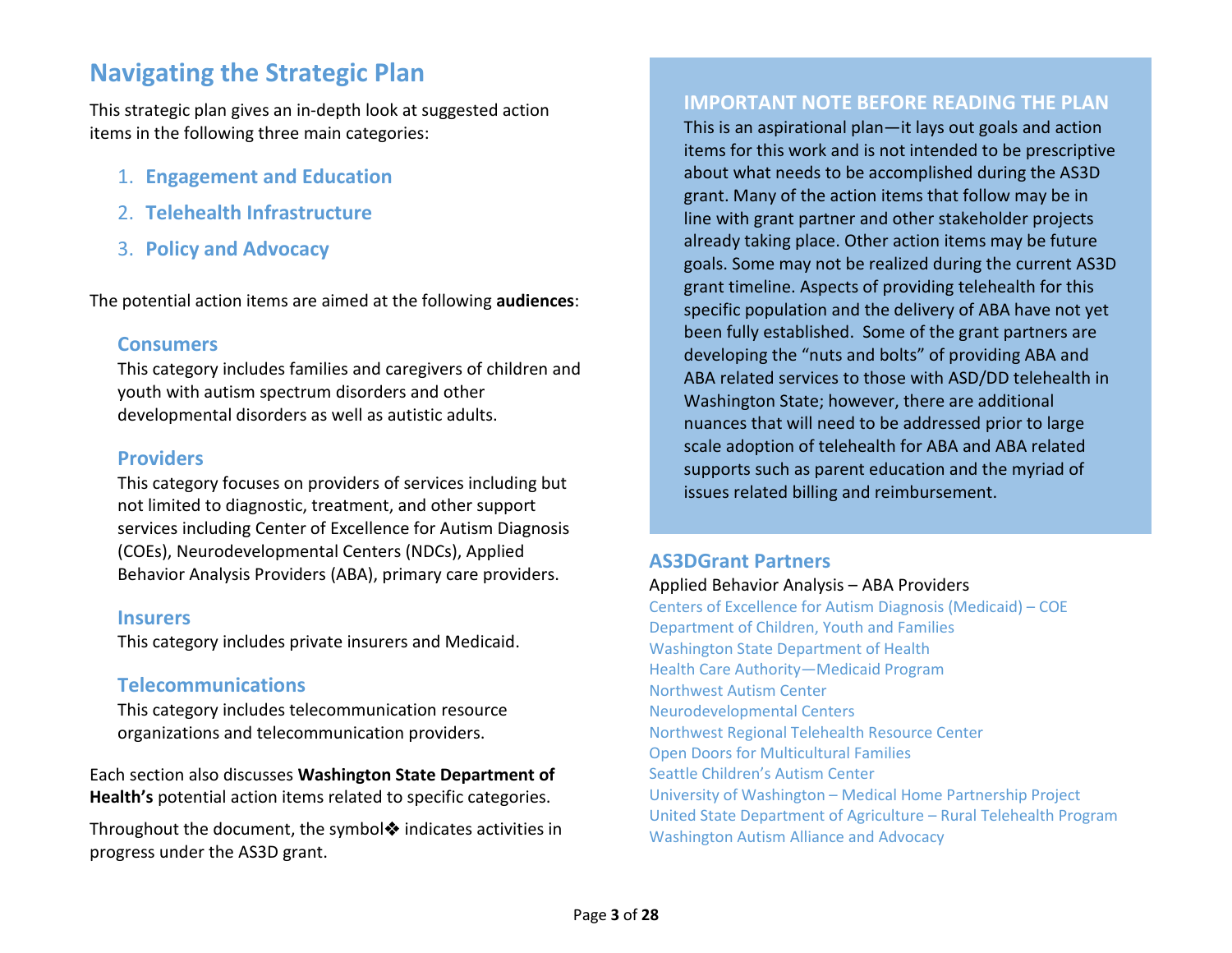## **Navigating the Strategic Plan**

This strategic plan gives an in-depth look at suggested action items in the following three main categories:

- 1. **Engagement and Education**
- 2. **Telehealth Infrastructure**
- 3. **Policy and Advocacy**

The potential action items are aimed at the following **audiences**:

#### **Consumers**

This category includes families and caregivers of children and youth with autism spectrum disorders and other developmental disorders as well as autistic adults.

#### **Providers**

This category focuses on providers of services including but not limited to diagnostic, treatment, and other support services including Center of Excellence for Autism Diagnosis (COEs), Neurodevelopmental Centers (NDCs), Applied Behavior Analysis Providers (ABA), primary care providers.

#### **Insurers**

This category includes private insurers and Medicaid.

### **Telecommunications**

This category includes telecommunication resource organizations and telecommunication providers.

Each section also discusses **Washington State Department of Health's** potential action items related to specific categories.

Throughout the document, the symbol  $\triangle$  indicates activities in progress under the AS3D grant.

#### **IMPORTANT NOTE BEFORE READING THE PLAN**

This is an aspirational plan—it lays out goals and action items for this work and is not intended to be prescriptive about what needs to be accomplished during the AS3D grant. Many of the action items that follow may be in line with grant partner and other stakeholder projects already taking place. Other action items may be future goals. Some may not be realized during the current AS3D grant timeline. Aspects of providing telehealth for this specific population and the delivery of ABA have not yet been fully established. Some of the grant partners are developing the "nuts and bolts" of providing ABA and ABA related services to those with ASD/DD telehealth in Washington State; however, there are additional nuances that will need to be addressed prior to large scale adoption of telehealth for ABA and ABA related supports such as parent education and the myriad of issues related billing and reimbursement.

#### **AS3DGrant Partners**

Applied Behavior Analysis – ABA Providers

Centers [of Excellence for Autism Diagnosis \(Medicaid\)](https://www.hca.wa.gov/billers-providers/programs-and-services/autism-and-applied-behavior-analysis-aba-therapy) – COE [Department of Children, Youth and Families](https://www.dcyf.wa.gov/) [Washington State Department of Health](https://www.doh.wa.gov/YouandYourFamily/InfantsandChildren/HealthandSafety/ChildrenwithSpecialHealthCareNeeds/Partners/NeurodevelopmentalCenters) [Health Care Authority—Medicaid Program](https://www.hca.wa.gov/) [Northwest Autism Center](http://www.nwautism.org/) [Neurodevelopmental Centers](https://www.doh.wa.gov/YouandYourFamily/InfantsandChildren/HealthandSafety/ChildrenwithSpecialHealthCareNeeds/Partners/NeurodevelopmentalCenters) [Northwest Regional Telehealth Resource Center](https://www.nrtrc.org/) [Open Doors for Multicultural Families](https://www.multiculturalfamilies.org/) [Seattle Children's Autism Center](http://www.seattlechildrens.org/clinics-programs/autism-center/) University of Washington – [Medical Home Partnership Project](http://medicalhome.org/) [United State Department of Agriculture –](https://www.rd.usda.gov/programs-services/distance-learning-telemedicine-grants) Rural Telehealth Program [Washington Autism Alliance and](https://www.washingtonautismadvocacy.org/updates/) Advocacy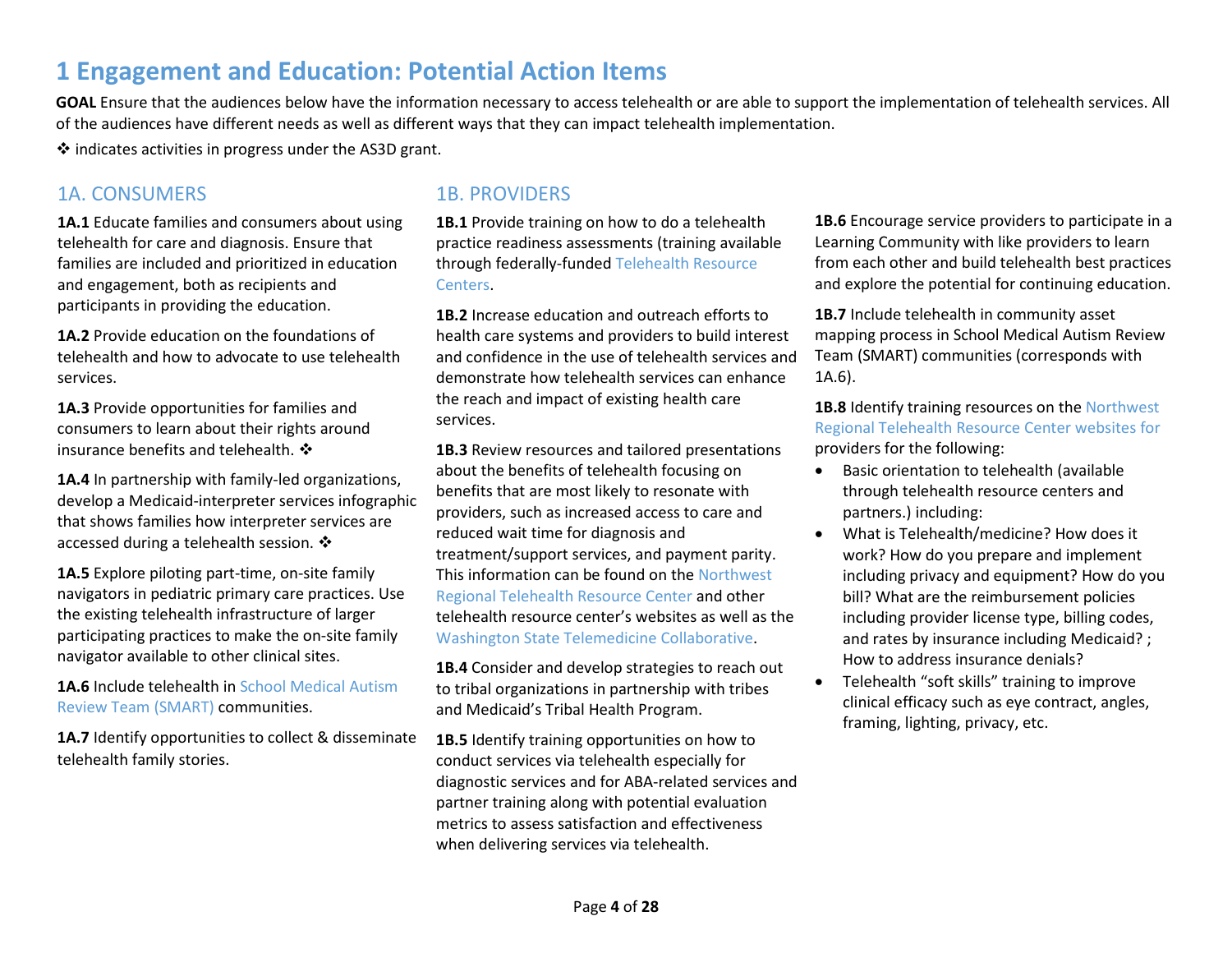## **1 Engagement and Education: Potential Action Items**

**GOAL** Ensure that the audiences below have the information necessary to access telehealth or are able to support the implementation of telehealth services. All of the audiences have different needs as well as different ways that they can impact telehealth implementation.

 $\cdot$  indicates activities in progress under the AS3D grant.

#### 1A. CONSUMERS 1B. PROVIDERS

**1A.1** Educate families and consumers about using telehealth for care and diagnosis. Ensure that families are included and prioritized in education and engagement, both as recipients and participants in providing the education.

**1A.2** Provide education on the foundations of telehealth and how to advocate to use telehealth services.

**1A.3** Provide opportunities for families and consumers to learn about their rights around insurance benefits and telehealth.  $\clubsuit$ 

**1A.4** In partnership with family-led organizations, develop a Medicaid-interpreter services infographic that shows families how interpreter services are accessed during a telehealth session.  $\cdot$ 

**1A.5** Explore piloting part-time, on-site family navigators in pediatric primary care practices. Use the existing telehealth infrastructure of larger participating practices to make the on-site family navigator available to other clinical sites.

**1A.6** Include telehealth in [School Medical Autism](http://medicalhome.org/stateinitiatives/community-asset-mapping/school-medical-autism-review-team-smart/)  [Review Team \(SMART\)](http://medicalhome.org/stateinitiatives/community-asset-mapping/school-medical-autism-review-team-smart/) communities.

1A.7 Identify opportunities to collect & disseminate telehealth family stories.

**1B.1** Provide training on how to do a telehealth practice readiness assessments (training available through federally-funde[d Telehealth Resource](https://www.telehealthresourcecenter.org/)  [Centers.](https://www.telehealthresourcecenter.org/)

**1B.2** Increase education and outreach efforts to health care systems and providers to build interest and confidence in the use of telehealth services and demonstrate how telehealth services can enhance the reach and impact of existing health care services.

**1B.3** Review resources and tailored presentations about the benefits of telehealth focusing on benefits that are most likely to resonate with providers, such as increased access to care and reduced wait time for diagnosis and treatment/support services, and payment parity. This information can be found on the [Northwest](https://nrtrc.org/)  [Regional Telehealth Resource Center](https://nrtrc.org/) and other telehealth resource center's websites as well as the [Washington State Telemedicine Collaborative.](http://www.wsha.org/policy-advocacy/issues/telemedicine/washington-state-telemedicine-collaborative/)

**1B.4** Consider and develop strategies to reach out to tribal organizations in partnership with tribes and Medicaid's Tribal Health Program.

**1B.5** Identify training opportunities on how to conduct services via telehealth especially for diagnostic services and for ABA-related services and partner training along with potential evaluation metrics to assess satisfaction and effectiveness when delivering services via telehealth.

**1B.6** Encourage service providers to participate in a Learning Community with like providers to learn from each other and build telehealth best practices and explore the potential for continuing education.

**1B.7** Include telehealth in community asset mapping process in School Medical Autism Review Team (SMART) communities (corresponds with 1A.6).

**1B.8** Identify training resources on the [Northwest](https://nrtrc.org/)  [Regional Telehealth Resource Center](https://nrtrc.org/) websites for providers for the following:

- Basic orientation to telehealth (available through telehealth resource centers and partners.) including:
- What is Telehealth/medicine? How does it work? How do you prepare and implement including privacy and equipment? How do you bill? What are the reimbursement policies including provider license type, billing codes, and rates by insurance including Medicaid? ; How to address insurance denials?
- Telehealth "soft skills" training to improve clinical efficacy such as eye contract, angles, framing, lighting, privacy, etc.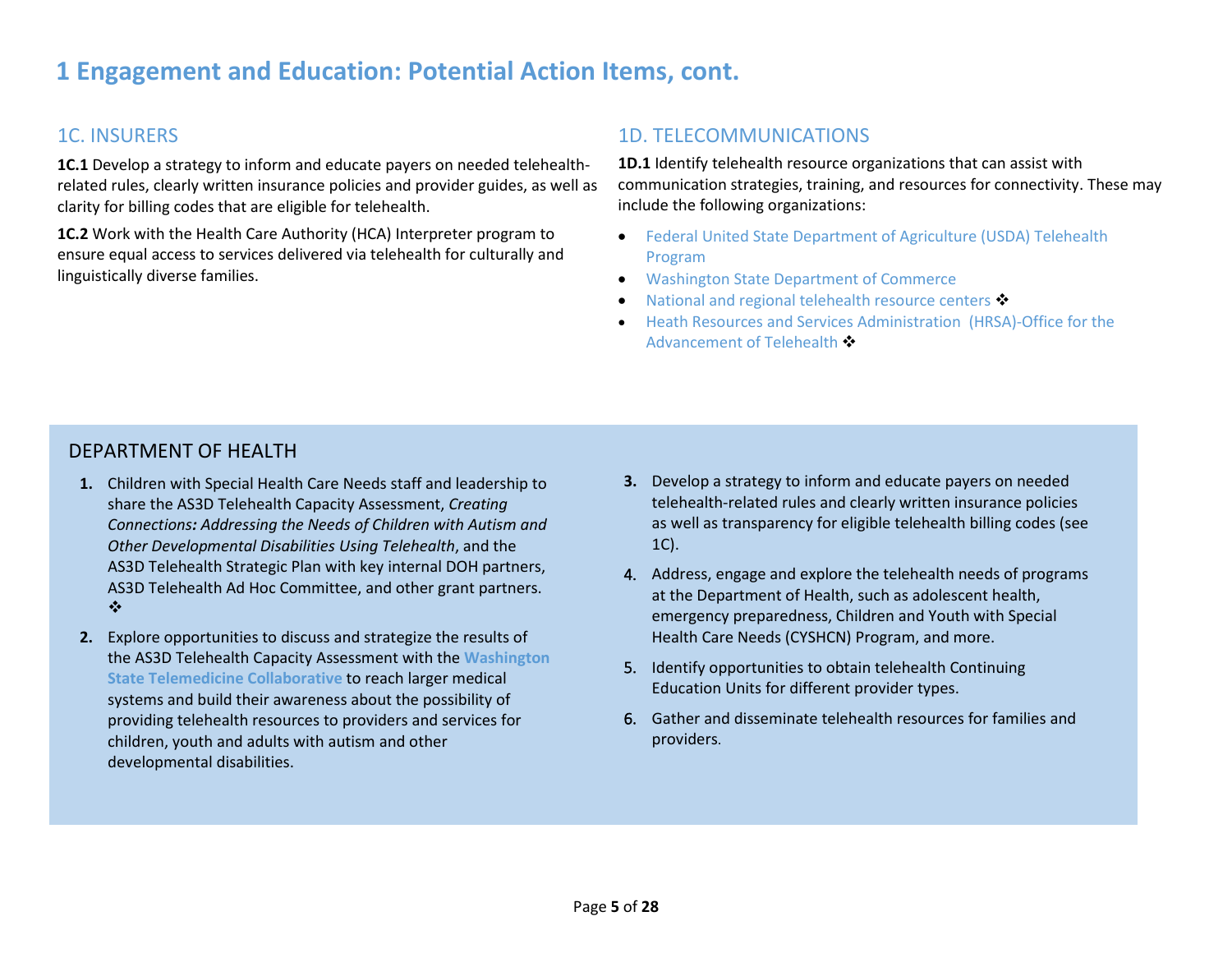## **1 Engagement and Education: Potential Action Items, cont.**

## 1C. INSURERS

**1C.1** Develop a strategy to inform and educate payers on needed telehealthrelated rules, clearly written insurance policies and provider guides, as well as clarity for billing codes that are eligible for telehealth.

**1C.2** Work with the Health Care Authority (HCA) Interpreter program to ensure equal access to services delivered via telehealth for culturally and linguistically diverse families.

### 1D. TELECOMMUNICATIONS

**1D.1** Identify telehealth resource organizations that can assist with communication strategies, training, and resources for connectivity. These may include the following organizations:

- [Federal United State Department of Agriculture \(USDA\) Telehealth](https://www.rd.usda.gov/programs-services/distance-learning-telemedicine-grants)  [Program](https://www.rd.usda.gov/programs-services/distance-learning-telemedicine-grants)
- [Washington State Department of Commerce](https://www.commerce.wa.gov/)
- [National and regional telehealth resource centers](https://www.telehealthresourcecenter.org/)  $\clubsuit$
- [Heath Resources and Services Administration](https://www.hrsa.gov/rural-health/telehealth/index.html) (HRSA)-Office for the [Advancement of Telehealth](https://www.hrsa.gov/rural-health/telehealth/index.html)

#### DEPARTMENT OF HEALTH

- **1.** Children with Special Health Care Needs staff and leadership to share the AS3D Telehealth Capacity Assessment, *Creating Connections: Addressing the Needs of Children with Autism and Other Developmental Disabilities Using Telehealth*, and the AS3D Telehealth Strategic Plan with key internal DOH partners, AS3D Telehealth Ad Hoc Committee, and other grant partners.  $\bullet^{\bullet}_{\bullet} \bullet$
- **2.** Explore opportunities to discuss and strategize the results of the AS3D Telehealth Capacity Assessment with the **[Washington](http://www.wsha.org/policy-advocacy/issues/telemedicine/washington-state-telemedicine-collaborative/)  [State Telemedicine Collaborative](http://www.wsha.org/policy-advocacy/issues/telemedicine/washington-state-telemedicine-collaborative/)** to reach larger medical systems and build their awareness about the possibility of providing telehealth resources to providers and services for children, youth and adults with autism and other developmental disabilities.
- **3.** Develop a strategy to inform and educate payers on needed telehealth-related rules and clearly written insurance policies as well as transparency for eligible telehealth billing codes (see 1C).
- 4. Address, engage and explore the telehealth needs of programs at the Department of Health, such as adolescent health, emergency preparedness, Children and Youth with Special Health Care Needs (CYSHCN) Program, and more.
- 5. Identify opportunities to obtain telehealth Continuing Education Units for different provider types.
- 6. Gather and disseminate telehealth resources for families and providers.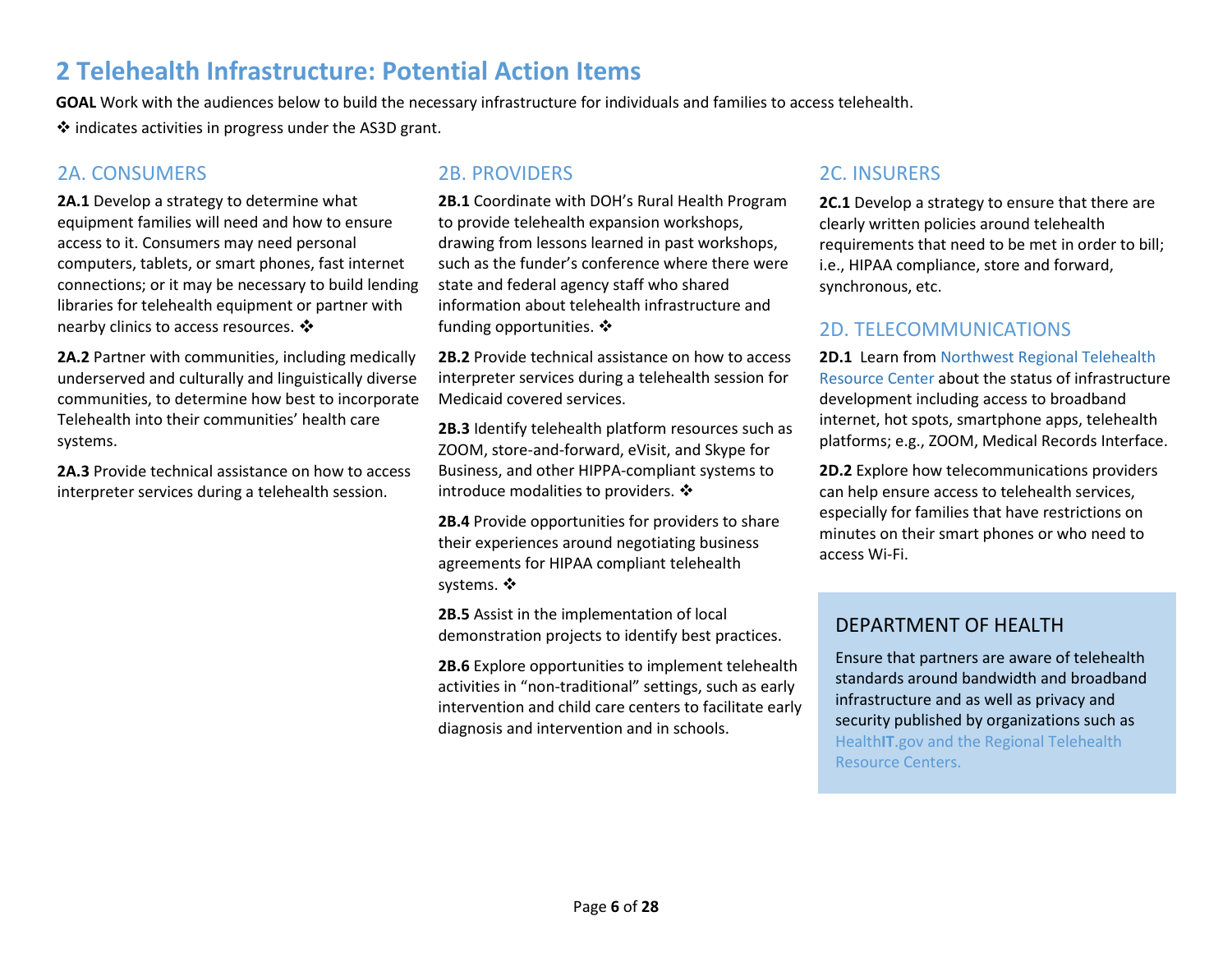## **2 Telehealth Infrastructure: Potential Action Items**

**GOAL** Work with the audiences below to build the necessary infrastructure for individuals and families to access telehealth.  $\clubsuit$  indicates activities in progress under the AS3D grant.

### 2A. CONSUMERS 2B. PROVIDERS

**2A.1** Develop a strategy to determine what equipment families will need and how to ensure access to it. Consumers may need personal computers, tablets, or smart phones, fast internet connections; or it may be necessary to build lending libraries for telehealth equipment or partner with nearby clinics to access resources. �

**2A.2** Partner with communities, including medically underserved and culturally and linguistically diverse communities, to determine how best to incorporate Telehealth into their communities' health care systems.

**2A.3** Provide technical assistance on how to access interpreter services during a telehealth session.

**2B.1** Coordinate with DOH's Rural Health Program to provide telehealth expansion workshops, drawing from lessons learned in past workshops, such as the funder's conference where there were state and federal agency staff who shared information about telehealth infrastructure and funding opportunities. ❖

**2B.2** Provide technical assistance on how to access interpreter services during a telehealth session for Medicaid covered services.

**2B.3** Identify telehealth platform resources such as ZOOM, store-and-forward, eVisit, and Skype for Business, and other HIPPA-compliant systems to introduce modalities to providers.  $\mathbf{\hat{*}}$ 

**2B.4** Provide opportunities for providers to share their experiences around negotiating business agreements for HIPAA compliant telehealth systems. ❖

**2B.5** Assist in the implementation of local demonstration projects to identify best practices.

**2B.6** Explore opportunities to implement telehealth activities in "non-traditional" settings, such as early intervention and child care centers to facilitate early diagnosis and intervention and in schools.

### 2C. INSURERS

**2C.1** Develop a strategy to ensure that there are clearly written policies around telehealth requirements that need to be met in order to bill; i.e., HIPAA compliance, store and forward, synchronous, etc.

### 2D. TELECOMMUNICATIONS

**2D.1** Learn fro[m Northwest Regional Telehealth](https://www.nrtrc.org/)  [Resource Center](https://www.nrtrc.org/) about the status of infrastructure development including access to broadband internet, hot spots, smartphone apps, telehealth platforms; e.g., ZOOM, Medical Records Interface.

**2D.2** Explore how telecommunications providers can help ensure access to telehealth services, especially for families that have restrictions on minutes on their smart phones or who need to access Wi-Fi.

### DEPARTMENT OF HEALTH

Ensure that partners are aware of telehealth standards around bandwidth and broadband infrastructure and as well as privacy and security published by organizations such as [Health](https://www.healthit.gov/faq/what-are-technical-infrastructure-requirements-telehealth)**IT**.gov and the Regional [Telehealth](http://www.telehealthresourcecenter.org/)  [Resource Centers.](http://www.telehealthresourcecenter.org/)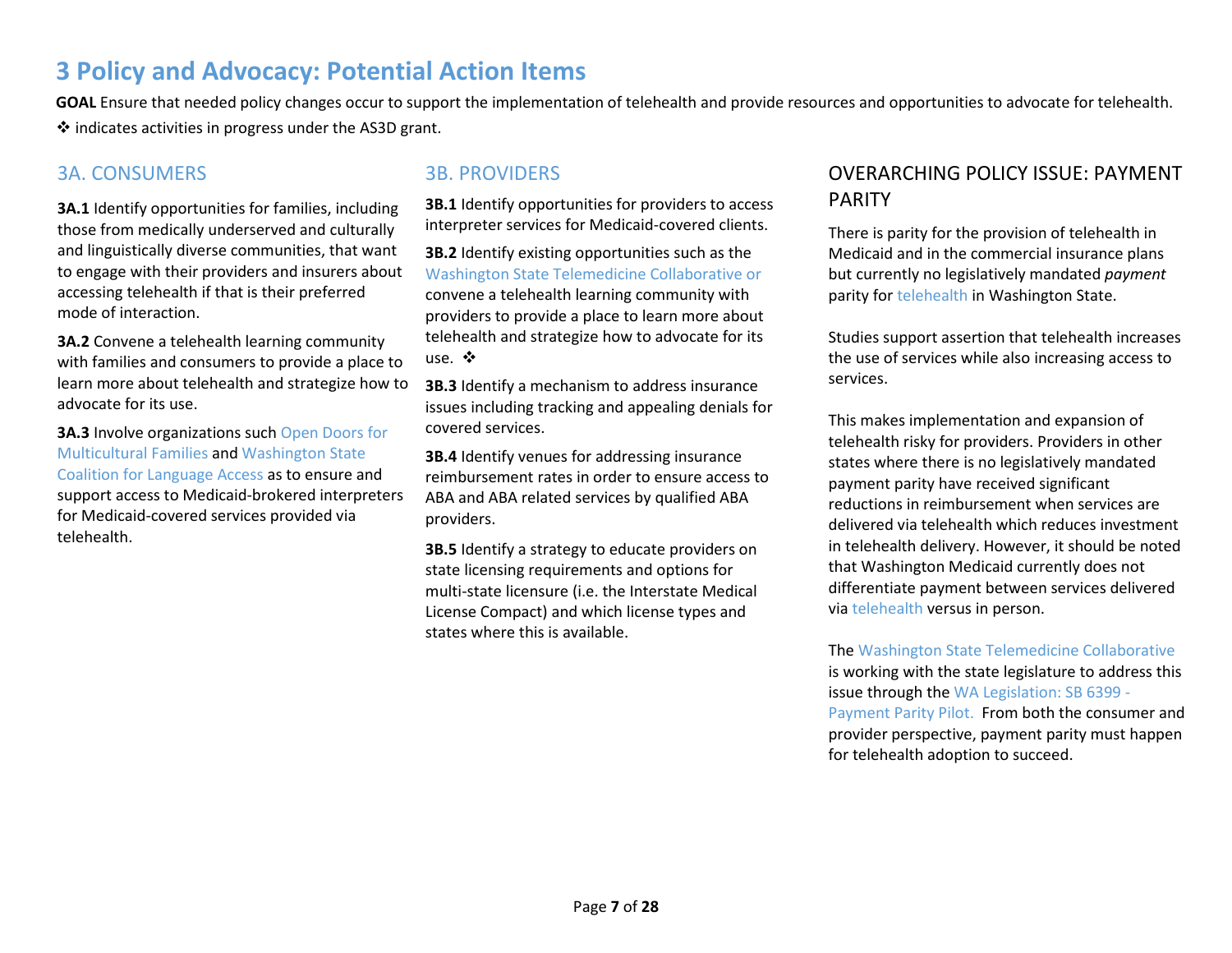## **3 Policy and Advocacy: Potential Action Items**

GOAL Ensure that needed policy changes occur to support the implementation of telehealth and provide resources and opportunities to advocate for telehealth.  $\cdot$  indicates activities in progress under the AS3D grant.

#### 3A. CONSUMERS 3B. PROVIDERS

**3A.1** Identify opportunities for families, including those from medically underserved and culturally and linguistically diverse communities, that want to engage with their providers and insurers about accessing telehealth if that is their preferred mode of interaction.

**3A.2** Convene a telehealth learning community with families and consumers to provide a place to learn more about telehealth and strategize how to advocate for its use.

**3A.3** Involve organizations such [Open Doors for](https://www.multiculturalfamilies.org/)  [Multicultural Families](https://www.multiculturalfamilies.org/) an[d Washington State](https://www.wascla.org/)  [Coalition for Language Access](https://www.wascla.org/) as to ensure and support access to Medicaid-brokered interpreters for Medicaid-covered services provided via telehealth.

**3B.1** Identify opportunities for providers to access interpreter services for Medicaid-covered clients.

**3B.2** Identify existing opportunities such as the [Washington State Telemedicine Collaborative](http://www.wsha.org/policy-advocacy/issues/telemedicine/washington-state-telemedicine-collaborative/) or convene a telehealth learning community with providers to provide a place to learn more about telehealth and strategize how to advocate for its  $use.$   $\clubsuit$ 

**3B.3** Identify a mechanism to address insurance issues including tracking and appealing denials for covered services.

**3B.4** Identify venues for addressing insurance reimbursement rates in order to ensure access to ABA and ABA related services by qualified ABA providers.

**3B.5** Identify a strategy to educate providers on state licensing requirements and options for multi-state licensure (i.e. the Interstate Medical License Compact) and which license types and states where this is available.

### OVERARCHING POLICY ISSUE: PAYMENT PARITY

There is parity for the provision of telehealth in Medicaid and in the commercial insurance plans but currently no legislatively mandated *payment* parity for telehealth in Washington State.

Studies support assertion that telehealth increases the use of services while also increasing access to services.

This makes implementation and expansion of telehealth risky for providers. Providers in other states where there is no legislatively mandated payment parity have received significant reductions in reimbursement when services are delivered via telehealth which reduces investment in telehealth delivery. However, it should be noted that Washington Medicaid currently does not differentiate payment between services delivered via telehealth versus in person.

Th[e Washington State Telemedicine Collaborative](http://www.wsha.org/policy-advocacy/issues/telemedicine/washington-state-telemedicine-collaborative/) is working with the state legislature to address this issue through the [WA Legislation: SB 6399 -](http://apps2.leg.wa.gov/billsummary?BillNumber=6399&Year=2017&BillNumber=6399&Year=2017) [Payment Parity Pilot.](http://apps2.leg.wa.gov/billsummary?BillNumber=6399&Year=2017&BillNumber=6399&Year=2017) From both the consumer and provider perspective, payment parity must happen for telehealth adoption to succeed.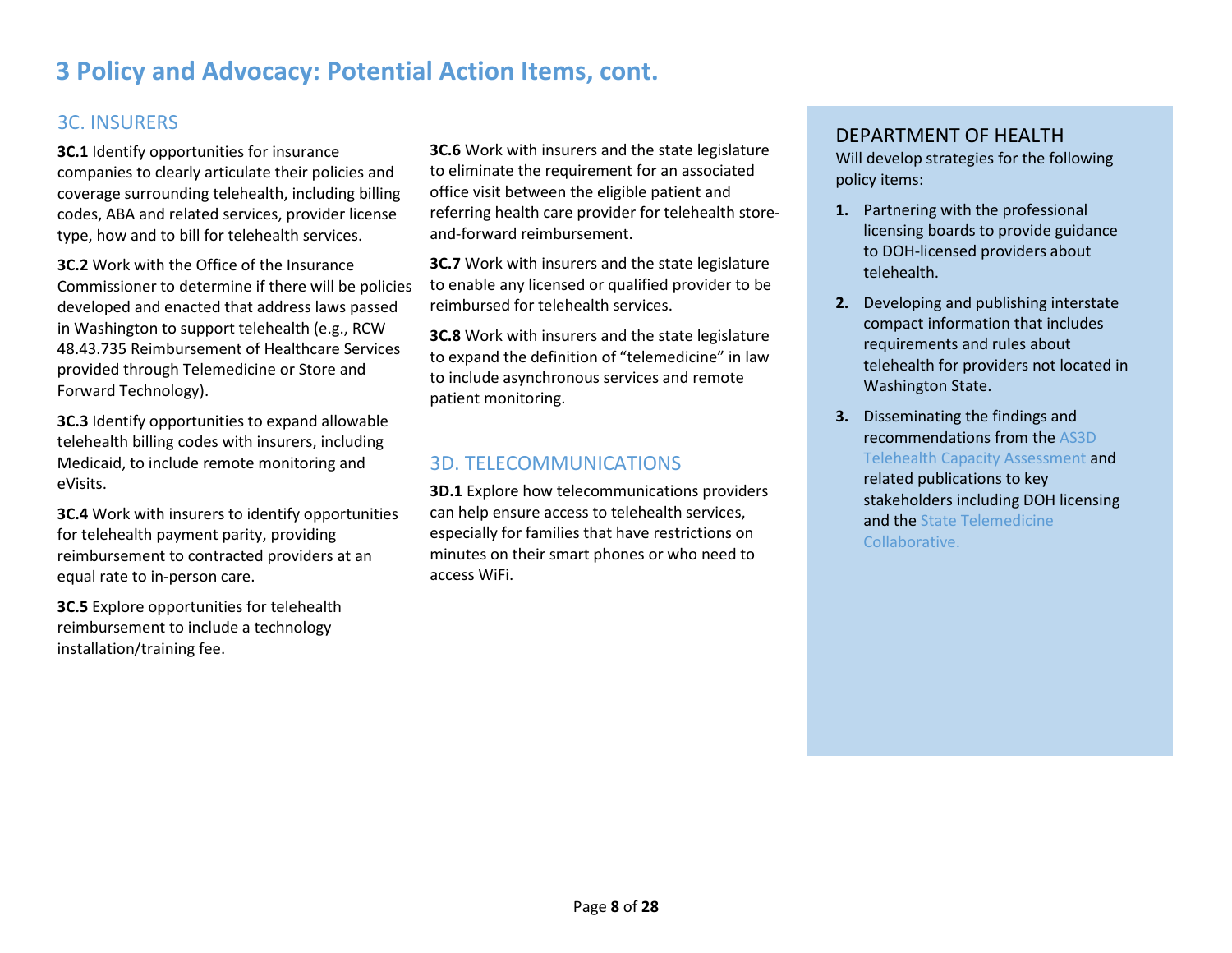## **3 Policy and Advocacy: Potential Action Items, cont.**

## 3C. INSURERS

**3C.1** Identify opportunities for insurance companies to clearly articulate their policies and coverage surrounding telehealth, including billing codes, ABA and related services, provider license type, how and to bill for telehealth services.

**3C.2** Work with the Office of the Insurance Commissioner to determine if there will be policies developed and enacted that address laws passed in Washington to support telehealth (e.g., RCW 48.43.735 Reimbursement of Healthcare Services provided through Telemedicine or Store and Forward Technology).

**3C.3** Identify opportunities to expand allowable telehealth billing codes with insurers, including Medicaid, to include remote monitoring and eVisits.

**3C.4** Work with insurers to identify opportunities for telehealth payment parity, providing reimbursement to contracted providers at an equal rate to in-person care.

**3C.5** Explore opportunities for telehealth reimbursement to include a technology installation/training fee.

**3C.6** Work with insurers and the state legislature to eliminate the requirement for an associated office visit between the eligible patient and referring health care provider for telehealth storeand-forward reimbursement.

**3C.7** Work with insurers and the state legislature to enable any licensed or qualified provider to be reimbursed for telehealth services.

**3C.8** Work with insurers and the state legislature to expand the definition of "telemedicine" in law to include asynchronous services and remote patient monitoring.

#### 3D. TELECOMMUNICATIONS

**3D.1** Explore how telecommunications providers can help ensure access to telehealth services, especially for families that have restrictions on minutes on their smart phones or who need to access WiFi.

#### DEPARTMENT OF HEALTH

Will develop strategies for the following policy items:

- **1.** Partnering with the professional licensing boards to provide guidance to DOH-licensed providers about telehealth.
- **2.** Developing and publishing interstate compact information that includes requirements and rules about telehealth for providers not located in Washington State.
- **3.** Disseminating the findings and recommendations from the [AS3D](https://www.doh.wa.gov/YouandYourFamily/InfantsandChildren/HealthandSafety/ChildrenwithSpecialHealthCareNeeds/Publications)  [Telehealth Capacity Assessment](https://www.doh.wa.gov/YouandYourFamily/InfantsandChildren/HealthandSafety/ChildrenwithSpecialHealthCareNeeds/Publications) and related publications to key stakeholders including DOH licensing and the [State Telemedicine](http://www.wsha.org/policy-advocacy/issues/telemedicine/washington-state-telemedicine-collaborative/)  [Collaborative.](http://www.wsha.org/policy-advocacy/issues/telemedicine/washington-state-telemedicine-collaborative/)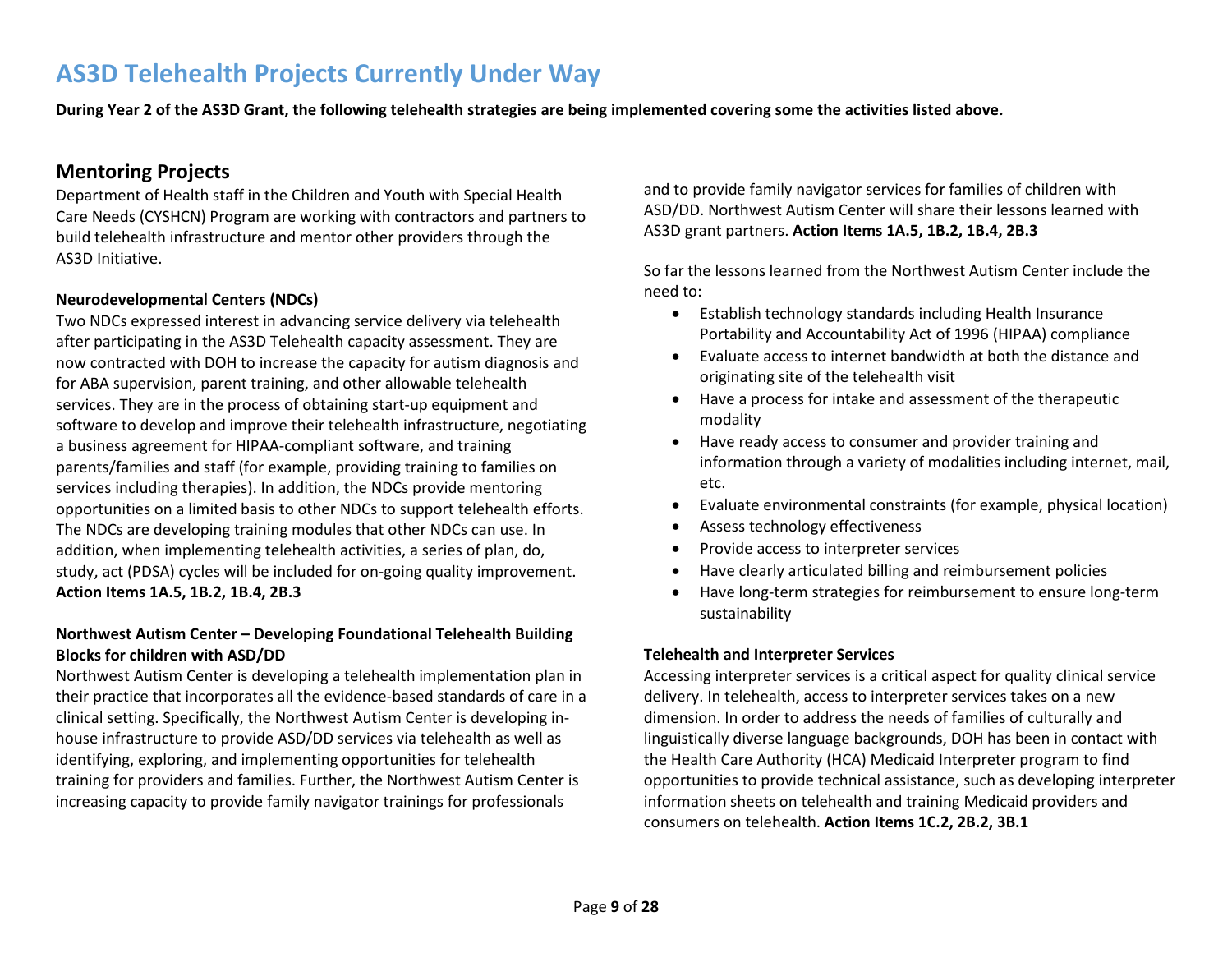## **AS3D Telehealth Projects Currently Under Way**

**During Year 2 of the AS3D Grant, the following telehealth strategies are being implemented covering some the activities listed above.**

#### **Mentoring Projects**

Department of Health staff in the Children and Youth with Special Health Care Needs (CYSHCN) Program are working with contractors and partners to build telehealth infrastructure and mentor other providers through the AS3D Initiative.

#### **Neurodevelopmental Centers (NDCs)**

Two NDCs expressed interest in advancing service delivery via telehealth after participating in the AS3D Telehealth capacity assessment. They are now contracted with DOH to increase the capacity for autism diagnosis and for ABA supervision, parent training, and other allowable telehealth services. They are in the process of obtaining start-up equipment and software to develop and improve their telehealth infrastructure, negotiating a business agreement for HIPAA-compliant software, and training parents/families and staff (for example, providing training to families on services including therapies). In addition, the NDCs provide mentoring opportunities on a limited basis to other NDCs to support telehealth efforts. The NDCs are developing training modules that other NDCs can use. In addition, when implementing telehealth activities, a series of plan, do, study, act (PDSA) cycles will be included for on-going quality improvement. **Action Items 1A.5, 1B.2, 1B.4, 2B.3**

#### **Northwest Autism Center – Developing Foundational Telehealth Building Blocks for children with ASD/DD**

Northwest Autism Center is developing a telehealth implementation plan in their practice that incorporates all the evidence-based standards of care in a clinical setting. Specifically, the Northwest Autism Center is developing inhouse infrastructure to provide ASD/DD services via telehealth as well as identifying, exploring, and implementing opportunities for telehealth training for providers and families. Further, the Northwest Autism Center is increasing capacity to provide family navigator trainings for professionals

and to provide family navigator services for families of children with ASD/DD. Northwest Autism Center will share their lessons learned with AS3D grant partners. **Action Items 1A.5, 1B.2, 1B.4, 2B.3**

So far the lessons learned from the Northwest Autism Center include the need to:

- Establish technology standards including Health Insurance Portability and Accountability Act of 1996 (HIPAA) compliance
- Evaluate access to internet bandwidth at both the distance and originating site of the telehealth visit
- Have a process for intake and assessment of the therapeutic modality
- Have ready access to consumer and provider training and information through a variety of modalities including internet, mail, etc.
- Evaluate environmental constraints (for example, physical location)
- Assess technology effectiveness
- Provide access to interpreter services
- Have clearly articulated billing and reimbursement policies
- Have long-term strategies for reimbursement to ensure long-term sustainability

#### **Telehealth and Interpreter Services**

Accessing interpreter services is a critical aspect for quality clinical service delivery. In telehealth, access to interpreter services takes on a new dimension. In order to address the needs of families of culturally and linguistically diverse language backgrounds, DOH has been in contact with the Health Care Authority (HCA) Medicaid Interpreter program to find opportunities to provide technical assistance, such as developing interpreter information sheets on telehealth and training Medicaid providers and consumers on telehealth. **Action Items 1C.2, 2B.2, 3B.1**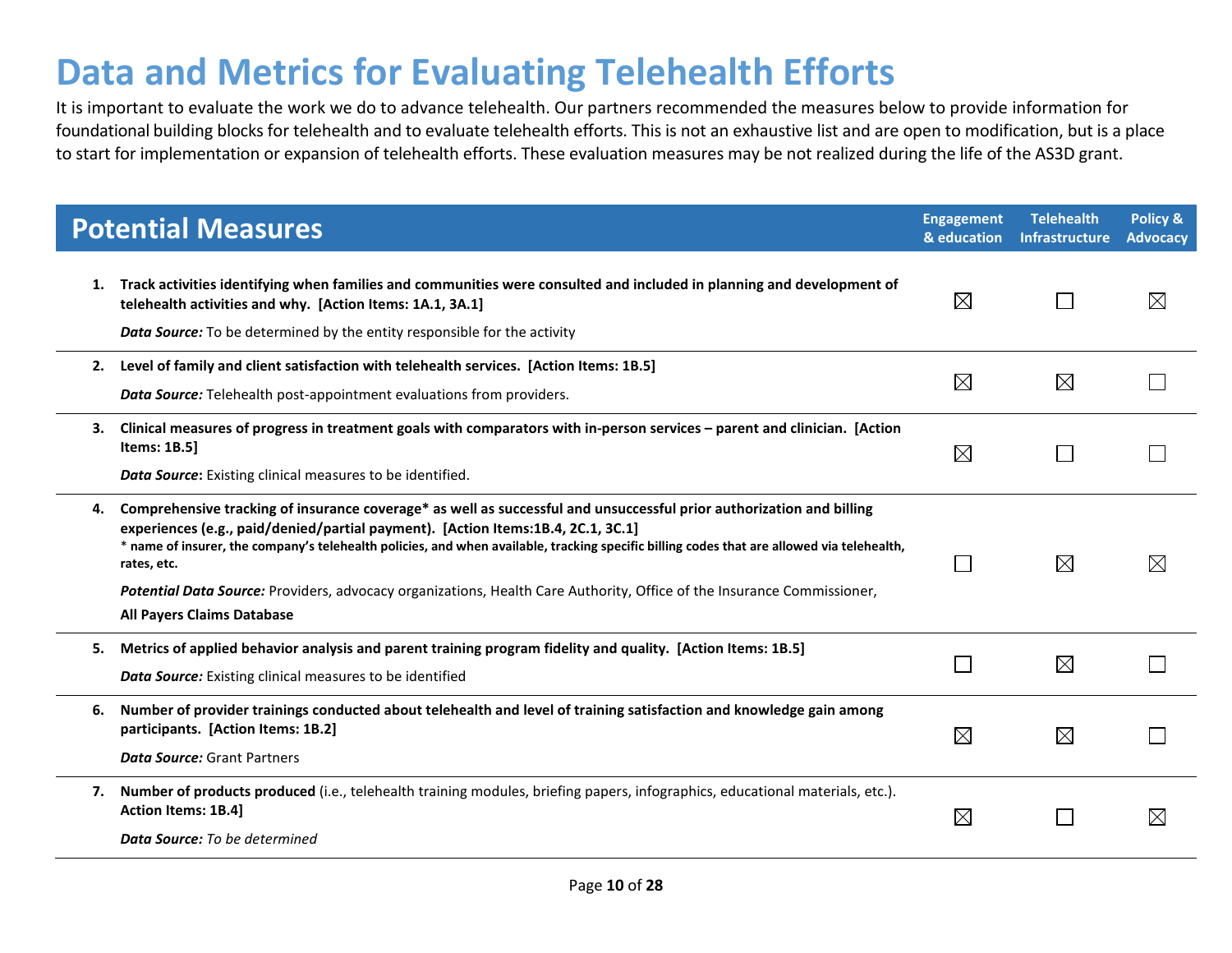# **Data and Metrics for Evaluating Telehealth Efforts**

It is important to evaluate the work we do to advance telehealth. Our partners recommended the measures below to provide information for foundational building blocks for telehealth and to evaluate telehealth efforts. This is not an exhaustive list and are open to modification, but is a place to start for implementation or expansion of telehealth efforts. These evaluation measures may be not realized during the life of the AS3D grant.

|    | <b>Potential Measures</b>                                                                                                                                                                                                                                                                                                                                                                                                                                                                                                            | <b>Engagement</b><br>& education | <b>Telehealth</b><br><b>Infrastructure</b> | Policy &<br><b>Advocacy</b> |
|----|--------------------------------------------------------------------------------------------------------------------------------------------------------------------------------------------------------------------------------------------------------------------------------------------------------------------------------------------------------------------------------------------------------------------------------------------------------------------------------------------------------------------------------------|----------------------------------|--------------------------------------------|-----------------------------|
| 1. | Track activities identifying when families and communities were consulted and included in planning and development of<br>telehealth activities and why. [Action Items: 1A.1, 3A.1]<br>Data Source: To be determined by the entity responsible for the activity                                                                                                                                                                                                                                                                       | $\boxtimes$                      |                                            | $\boxtimes$                 |
| 2. | Level of family and client satisfaction with telehealth services. [Action Items: 1B.5]<br>Data Source: Telehealth post-appointment evaluations from providers.                                                                                                                                                                                                                                                                                                                                                                       | $\boxtimes$                      | $\boxtimes$                                |                             |
| З. | Clinical measures of progress in treatment goals with comparators with in-person services - parent and clinician. [Action<br><b>Items: 1B.5]</b><br>Data Source: Existing clinical measures to be identified.                                                                                                                                                                                                                                                                                                                        | $\boxtimes$                      |                                            |                             |
| 4. | Comprehensive tracking of insurance coverage* as well as successful and unsuccessful prior authorization and billing<br>experiences (e.g., paid/denied/partial payment). [Action Items:1B.4, 2C.1, 3C.1]<br>* name of insurer, the company's telehealth policies, and when available, tracking specific billing codes that are allowed via telehealth,<br>rates, etc.<br>Potential Data Source: Providers, advocacy organizations, Health Care Authority, Office of the Insurance Commissioner,<br><b>All Payers Claims Database</b> |                                  | $\boxtimes$                                | $\boxtimes$                 |
| 5. | Metrics of applied behavior analysis and parent training program fidelity and quality. [Action Items: 1B.5]<br><b>Data Source:</b> Existing clinical measures to be identified                                                                                                                                                                                                                                                                                                                                                       |                                  | $\boxtimes$                                |                             |
| 6. | Number of provider trainings conducted about telehealth and level of training satisfaction and knowledge gain among<br>participants. [Action Items: 1B.2]<br><b>Data Source: Grant Partners</b>                                                                                                                                                                                                                                                                                                                                      | $\boxtimes$                      | $\boxtimes$                                |                             |
| 7. | Number of products produced (i.e., telehealth training modules, briefing papers, infographics, educational materials, etc.).<br>Action Items: 1B.4]<br><b>Data Source:</b> To be determined                                                                                                                                                                                                                                                                                                                                          | $\boxtimes$                      |                                            | ⋉                           |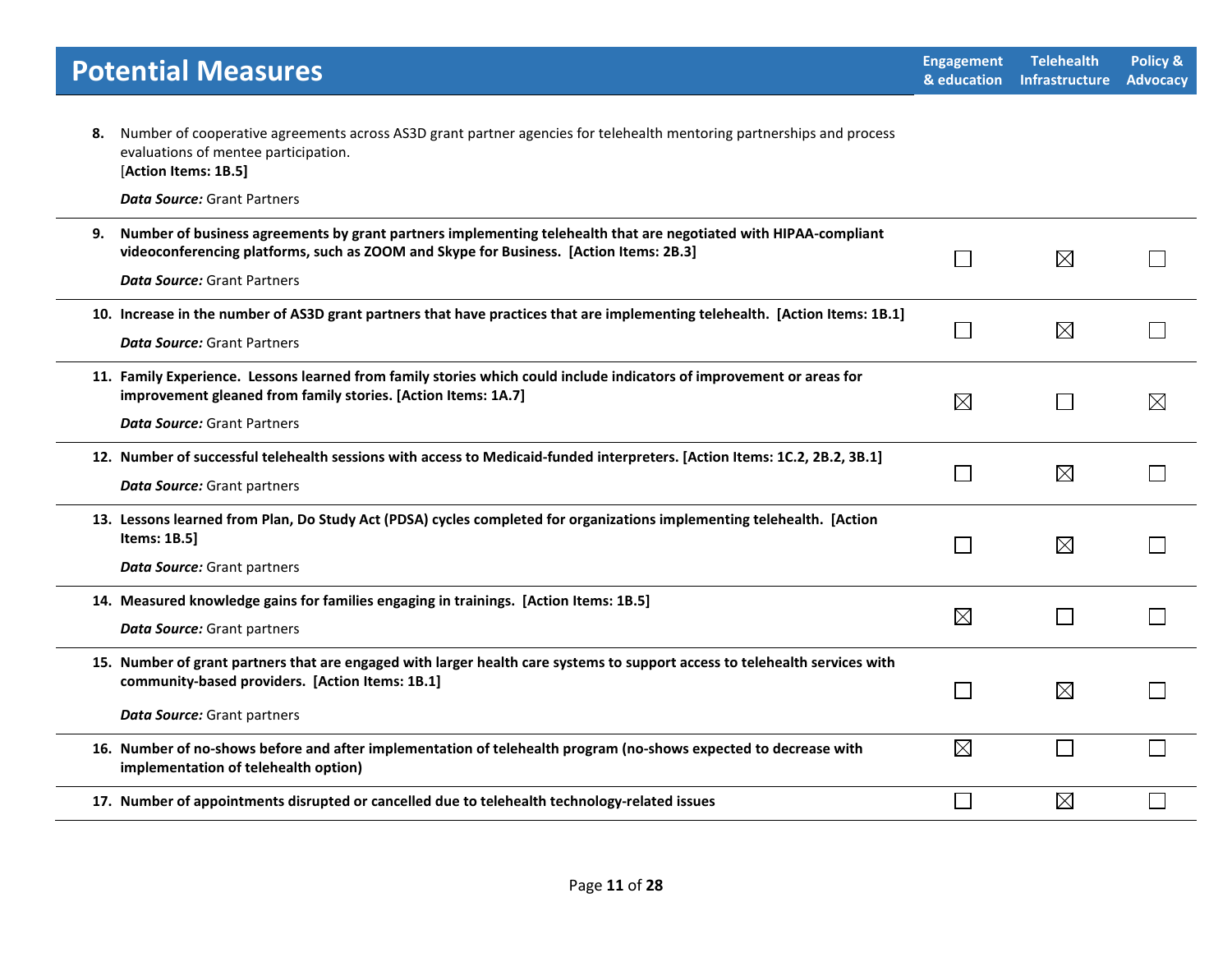| <b>Potential Measures</b>                                                                                                                                                                                                                              | <b>Engagement</b><br>& education | <b>Telehealth</b><br><b>Infrastructure</b> | Policy &<br><b>Advocacy</b> |
|--------------------------------------------------------------------------------------------------------------------------------------------------------------------------------------------------------------------------------------------------------|----------------------------------|--------------------------------------------|-----------------------------|
| Number of cooperative agreements across AS3D grant partner agencies for telehealth mentoring partnerships and process<br>8.<br>evaluations of mentee participation.<br>[Action Items: 1B.5]<br><b>Data Source: Grant Partners</b>                      |                                  |                                            |                             |
| Number of business agreements by grant partners implementing telehealth that are negotiated with HIPAA-compliant<br>9.<br>videoconferencing platforms, such as ZOOM and Skype for Business. [Action Items: 2B.3]<br><b>Data Source: Grant Partners</b> | L.                               | $\boxtimes$                                |                             |
| 10. Increase in the number of AS3D grant partners that have practices that are implementing telehealth. [Action Items: 1B.1]<br><b>Data Source: Grant Partners</b>                                                                                     | l.                               | $\boxtimes$                                |                             |
| 11. Family Experience. Lessons learned from family stories which could include indicators of improvement or areas for<br>improvement gleaned from family stories. [Action Items: 1A.7]<br><b>Data Source: Grant Partners</b>                           | $\boxtimes$                      | $\mathsf{L}$                               | $\boxtimes$                 |
| 12. Number of successful telehealth sessions with access to Medicaid-funded interpreters. [Action Items: 1C.2, 2B.2, 3B.1]<br><b>Data Source: Grant partners</b>                                                                                       | L.                               | $\boxtimes$                                |                             |
| 13. Lessons learned from Plan, Do Study Act (PDSA) cycles completed for organizations implementing telehealth. [Action<br>Items: 1B.5]<br><b>Data Source: Grant partners</b>                                                                           | $\Box$                           | $\boxtimes$                                |                             |
| 14. Measured knowledge gains for families engaging in trainings. [Action Items: 1B.5]<br><b>Data Source: Grant partners</b>                                                                                                                            | $\boxtimes$                      |                                            |                             |
| 15. Number of grant partners that are engaged with larger health care systems to support access to telehealth services with<br>community-based providers. [Action Items: 1B.1]<br><b>Data Source: Grant partners</b>                                   | $\Box$                           | $\boxtimes$                                |                             |
| 16. Number of no-shows before and after implementation of telehealth program (no-shows expected to decrease with<br>implementation of telehealth option)                                                                                               | $\boxtimes$                      |                                            |                             |
| 17. Number of appointments disrupted or cancelled due to telehealth technology-related issues                                                                                                                                                          | l.                               | $\boxtimes$                                |                             |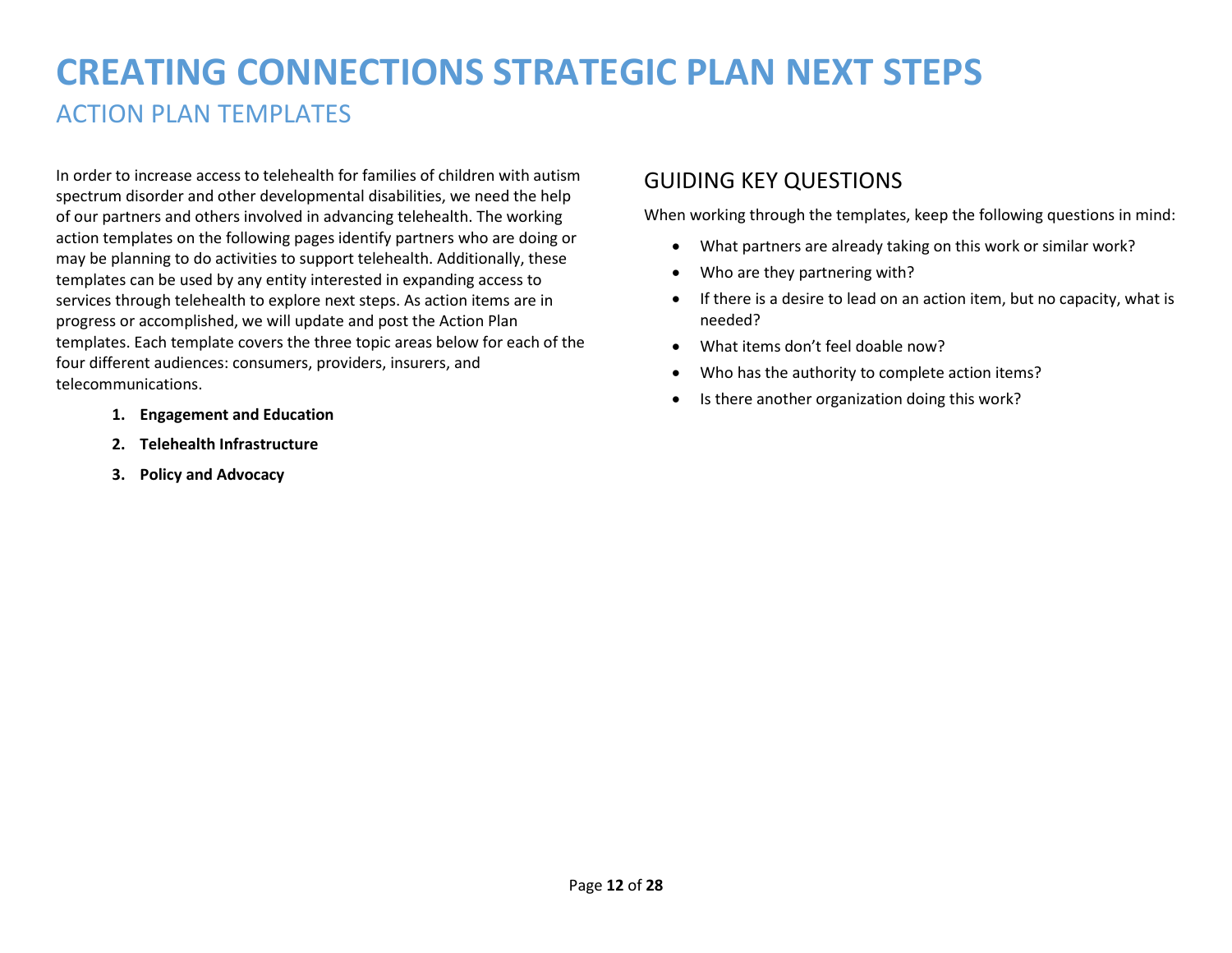# **CREATING CONNECTIONS STRATEGIC PLAN NEXT STEPS** ACTION PLAN TEMPLATES

In order to increase access to telehealth for families of children with autism spectrum disorder and other developmental disabilities, we need the help of our partners and others involved in advancing telehealth. The working action templates on the following pages identify partners who are doing or may be planning to do activities to support telehealth. Additionally, these templates can be used by any entity interested in expanding access to services through telehealth to explore next steps. As action items are in progress or accomplished, we will update and post the Action Plan templates. Each template covers the three topic areas below for each of the four different audiences: consumers, providers, insurers, and telecommunications.

- **1. Engagement and Education**
- **2. Telehealth Infrastructure**
- **3. Policy and Advocacy**

## GUIDING KEY QUESTIONS

When working through the templates, keep the following questions in mind:

- What partners are already taking on this work or similar work?
- Who are they partnering with?
- If there is a desire to lead on an action item, but no capacity, what is needed?
- What items don't feel doable now?
- Who has the authority to complete action items?
- Is there another organization doing this work?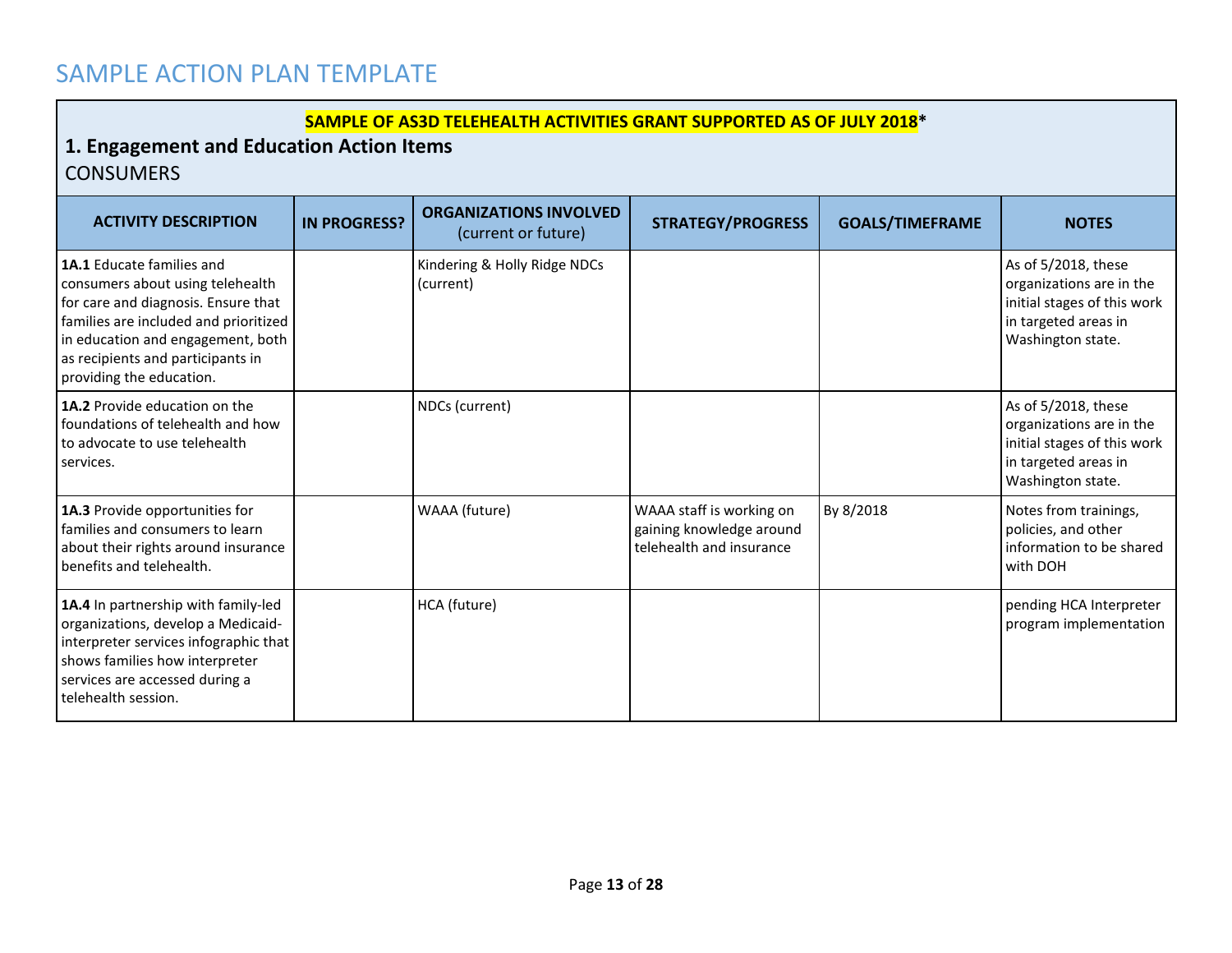## SAMPLE ACTION PLAN TEMPLATE

#### **SAMPLE OF AS3D TELEHEALTH ACTIVITIES GRANT SUPPORTED AS OF JULY 2018\***

## **1. Engagement and Education Action Items CONSUMERS**

| <b>ACTIVITY DESCRIPTION</b>                                                                                                                                                                                                                                | <b>IN PROGRESS?</b> | <b>ORGANIZATIONS INVOLVED</b><br>(current or future) | <b>STRATEGY/PROGRESS</b>                                                         | <b>GOALS/TIMEFRAME</b> | <b>NOTES</b>                                                                                                                |
|------------------------------------------------------------------------------------------------------------------------------------------------------------------------------------------------------------------------------------------------------------|---------------------|------------------------------------------------------|----------------------------------------------------------------------------------|------------------------|-----------------------------------------------------------------------------------------------------------------------------|
| <b>1A.1 Educate families and</b><br>consumers about using telehealth<br>for care and diagnosis. Ensure that<br>families are included and prioritized<br>in education and engagement, both<br>as recipients and participants in<br>providing the education. |                     | Kindering & Holly Ridge NDCs<br>(current)            |                                                                                  |                        | As of 5/2018, these<br>organizations are in the<br>initial stages of this work<br>in targeted areas in<br>Washington state. |
| 1A.2 Provide education on the<br>foundations of telehealth and how<br>to advocate to use telehealth<br>services.                                                                                                                                           |                     | NDCs (current)                                       |                                                                                  |                        | As of 5/2018, these<br>organizations are in the<br>initial stages of this work<br>in targeted areas in<br>Washington state. |
| 1A.3 Provide opportunities for<br>families and consumers to learn<br>about their rights around insurance<br>benefits and telehealth.                                                                                                                       |                     | WAAA (future)                                        | WAAA staff is working on<br>gaining knowledge around<br>telehealth and insurance | By 8/2018              | Notes from trainings,<br>policies, and other<br>information to be shared<br>with DOH                                        |
| 1A.4 In partnership with family-led<br>organizations, develop a Medicaid-<br>interpreter services infographic that<br>shows families how interpreter<br>services are accessed during a<br>telehealth session.                                              |                     | HCA (future)                                         |                                                                                  |                        | pending HCA Interpreter<br>program implementation                                                                           |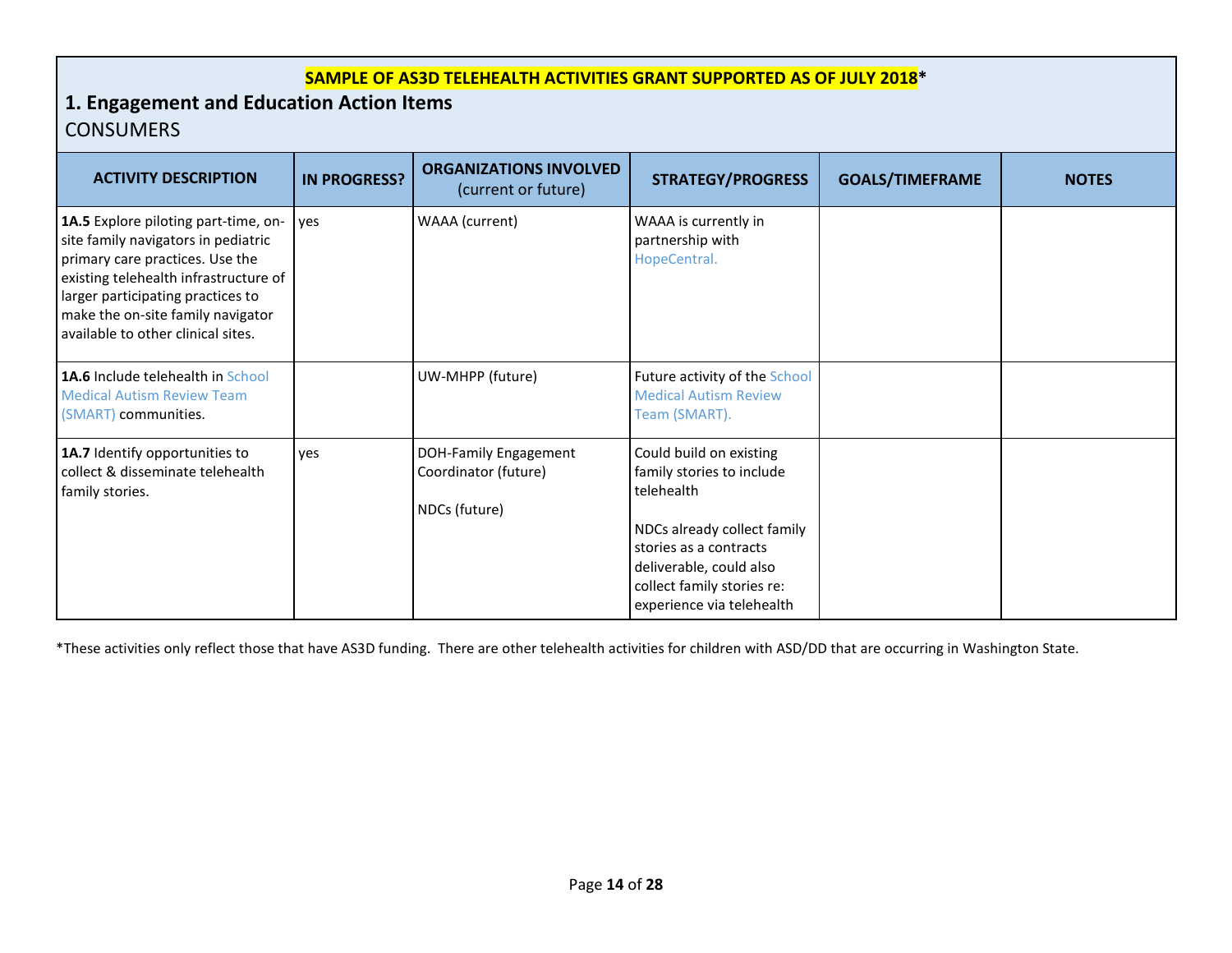### **SAMPLE OF AS3D TELEHEALTH ACTIVITIES GRANT SUPPORTED AS OF JULY 2018\***

## **1. Engagement and Education Action Items CONSUMERS**

| <b>ACTIVITY DESCRIPTION</b>                                                                                                                                                                                                                                             | <b>IN PROGRESS?</b> | <b>ORGANIZATIONS INVOLVED</b><br>(current or future)           | <b>STRATEGY/PROGRESS</b>                                                                                                                                                                                          | <b>GOALS/TIMEFRAME</b> | <b>NOTES</b> |
|-------------------------------------------------------------------------------------------------------------------------------------------------------------------------------------------------------------------------------------------------------------------------|---------------------|----------------------------------------------------------------|-------------------------------------------------------------------------------------------------------------------------------------------------------------------------------------------------------------------|------------------------|--------------|
| 1A.5 Explore piloting part-time, on-<br>site family navigators in pediatric<br>primary care practices. Use the<br>existing telehealth infrastructure of<br>larger participating practices to<br>make the on-site family navigator<br>available to other clinical sites. | yes                 | WAAA (current)                                                 | WAAA is currently in<br>partnership with<br>HopeCentral.                                                                                                                                                          |                        |              |
| 1A.6 Include telehealth in School<br><b>Medical Autism Review Team</b><br>(SMART) communities.                                                                                                                                                                          |                     | UW-MHPP (future)                                               | Future activity of the School<br><b>Medical Autism Review</b><br>Team (SMART).                                                                                                                                    |                        |              |
| 1A.7 Identify opportunities to<br>collect & disseminate telehealth<br>family stories.                                                                                                                                                                                   | ves                 | DOH-Family Engagement<br>Coordinator (future)<br>NDCs (future) | Could build on existing<br>family stories to include<br>telehealth<br>NDCs already collect family<br>stories as a contracts<br>deliverable, could also<br>collect family stories re:<br>experience via telehealth |                        |              |

\*These activities only reflect those that have AS3D funding. There are other telehealth activities for children with ASD/DD that are occurring in Washington State.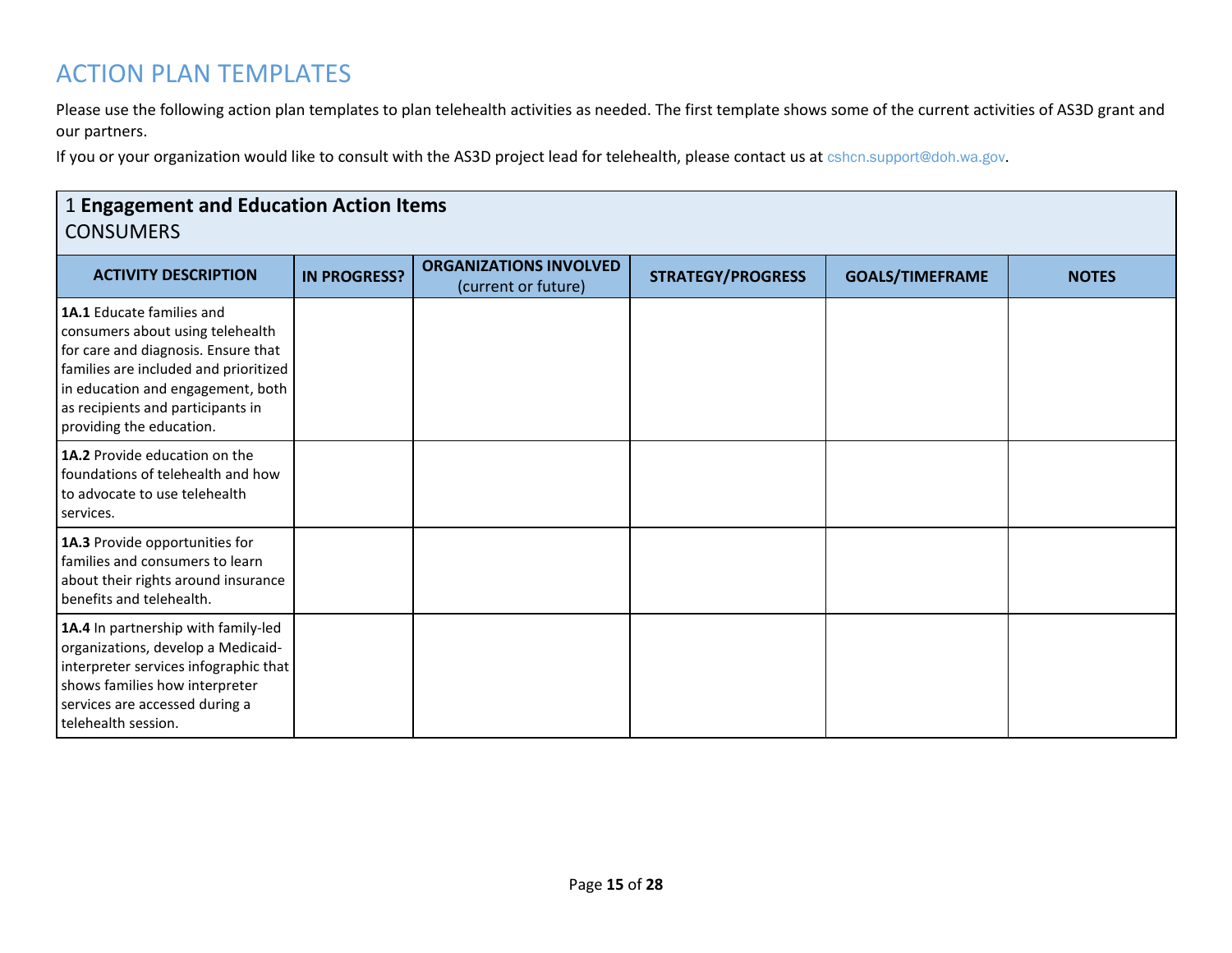## ACTION PLAN TEMPLATES

Please use the following action plan templates to plan telehealth activities as needed. The first template shows some of the current activities of AS3D grant and our partners.

If you or your organization would like to consult with the AS3D project lead for telehealth, please contact us at [cshcn.support@doh.wa.gov.](mailto:CSHCN.SUPPORT@DOH.WA.GOV)

| <b>1 Engagement and Education Action Items</b><br><b>CONSUMERS</b>                                                                                                                                                                                  |                     |                                                      |                          |                        |              |  |  |
|-----------------------------------------------------------------------------------------------------------------------------------------------------------------------------------------------------------------------------------------------------|---------------------|------------------------------------------------------|--------------------------|------------------------|--------------|--|--|
| <b>ACTIVITY DESCRIPTION</b>                                                                                                                                                                                                                         | <b>IN PROGRESS?</b> | <b>ORGANIZATIONS INVOLVED</b><br>(current or future) | <b>STRATEGY/PROGRESS</b> | <b>GOALS/TIMEFRAME</b> | <b>NOTES</b> |  |  |
| 1A.1 Educate families and<br>consumers about using telehealth<br>for care and diagnosis. Ensure that<br>families are included and prioritized<br>in education and engagement, both<br>as recipients and participants in<br>providing the education. |                     |                                                      |                          |                        |              |  |  |
| <b>1A.2</b> Provide education on the<br>foundations of telehealth and how<br>to advocate to use telehealth<br>services.                                                                                                                             |                     |                                                      |                          |                        |              |  |  |
| 1A.3 Provide opportunities for<br>families and consumers to learn<br>about their rights around insurance<br>benefits and telehealth.                                                                                                                |                     |                                                      |                          |                        |              |  |  |
| 1A.4 In partnership with family-led<br>organizations, develop a Medicaid-<br>interpreter services infographic that<br>shows families how interpreter<br>services are accessed during a<br>telehealth session.                                       |                     |                                                      |                          |                        |              |  |  |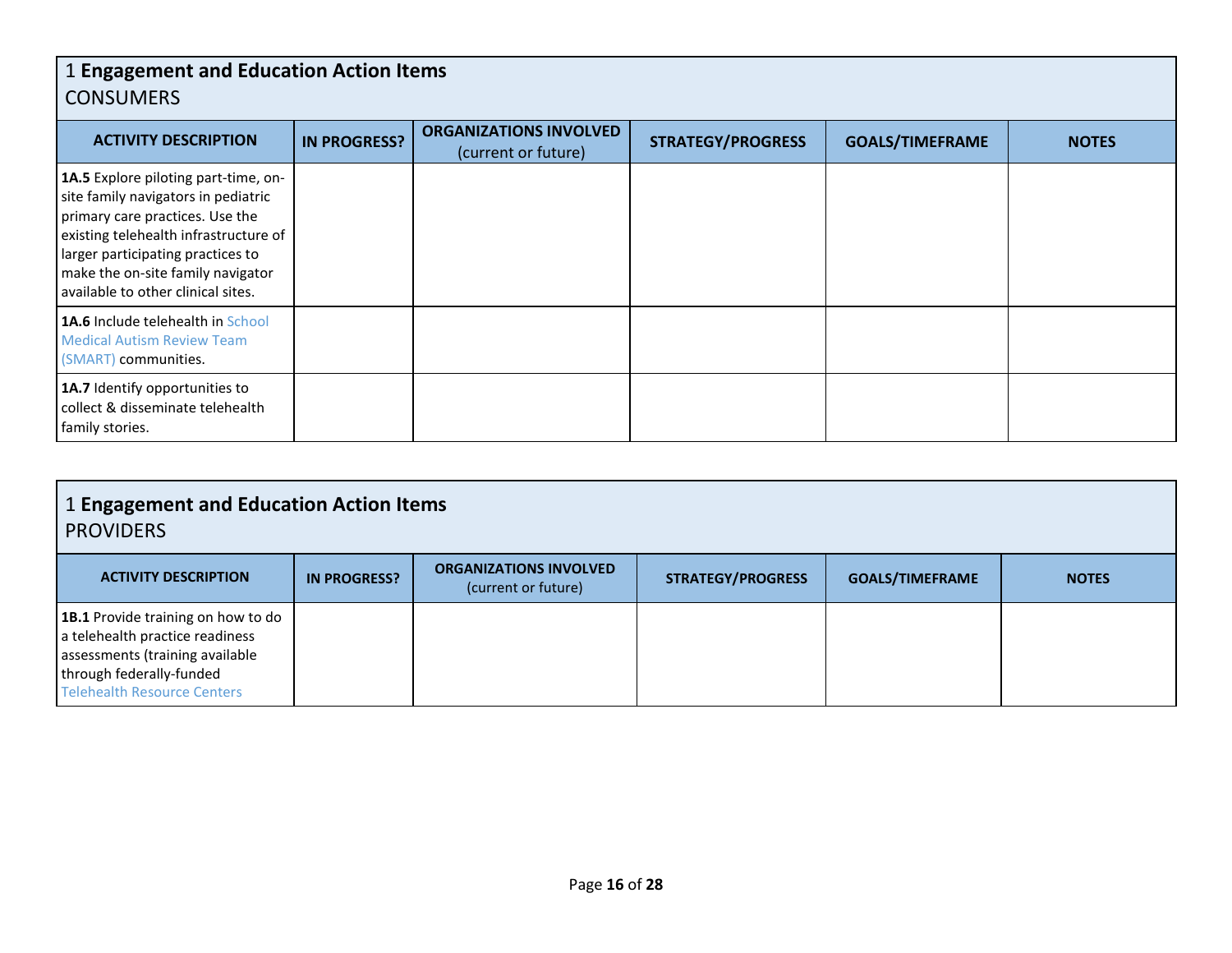## 1 **Engagement and Education Action Items** CONSUMERS

| <b>ACTIVITY DESCRIPTION</b>                                                                                                                                                                                                                                             | <b>IN PROGRESS?</b> | <b>ORGANIZATIONS INVOLVED</b><br>(current or future) | <b>STRATEGY/PROGRESS</b> | <b>GOALS/TIMEFRAME</b> | <b>NOTES</b> |
|-------------------------------------------------------------------------------------------------------------------------------------------------------------------------------------------------------------------------------------------------------------------------|---------------------|------------------------------------------------------|--------------------------|------------------------|--------------|
| 1A.5 Explore piloting part-time, on-<br>site family navigators in pediatric<br>primary care practices. Use the<br>existing telehealth infrastructure of<br>larger participating practices to<br>make the on-site family navigator<br>available to other clinical sites. |                     |                                                      |                          |                        |              |
| <b>1A.6</b> Include telehealth in School<br><b>Medical Autism Review Team</b><br>(SMART) communities.                                                                                                                                                                   |                     |                                                      |                          |                        |              |
| 1A.7 Identify opportunities to<br>collect & disseminate telehealth<br>family stories.                                                                                                                                                                                   |                     |                                                      |                          |                        |              |

| <b>ACTIVITY DESCRIPTION</b>                                                                                                                                                | <b>IN PROGRESS?</b> | <b>ORGANIZATIONS INVOLVED</b><br>(current or future) | <b>STRATEGY/PROGRESS</b> | <b>GOALS/TIMEFRAME</b> | <b>NOTES</b> |
|----------------------------------------------------------------------------------------------------------------------------------------------------------------------------|---------------------|------------------------------------------------------|--------------------------|------------------------|--------------|
| <b>1B.1</b> Provide training on how to do<br>a telehealth practice readiness<br>assessments (training available<br>through federally-funded<br>Telehealth Resource Centers |                     |                                                      |                          |                        |              |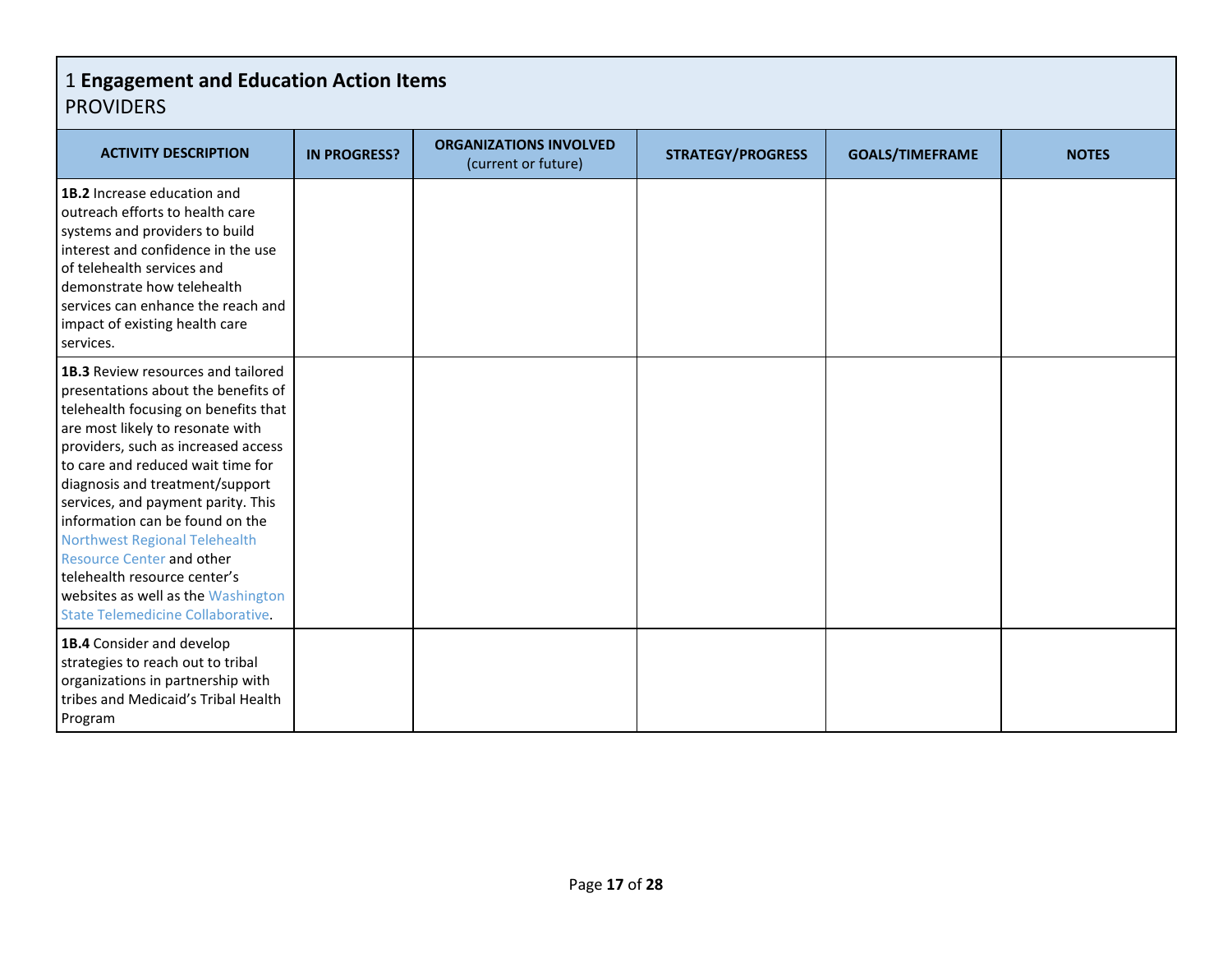| <b>ACTIVITY DESCRIPTION</b>                                                                                                                                                                                                                                                                                                                                                                                                                                                                                                                 | <b>IN PROGRESS?</b> | <b>ORGANIZATIONS INVOLVED</b><br>(current or future) | <b>STRATEGY/PROGRESS</b> | <b>GOALS/TIMEFRAME</b> | <b>NOTES</b> |
|---------------------------------------------------------------------------------------------------------------------------------------------------------------------------------------------------------------------------------------------------------------------------------------------------------------------------------------------------------------------------------------------------------------------------------------------------------------------------------------------------------------------------------------------|---------------------|------------------------------------------------------|--------------------------|------------------------|--------------|
| 1B.2 Increase education and<br>outreach efforts to health care<br>systems and providers to build<br>interest and confidence in the use<br>of telehealth services and<br>demonstrate how telehealth<br>services can enhance the reach and<br>impact of existing health care<br>services.                                                                                                                                                                                                                                                     |                     |                                                      |                          |                        |              |
| 1B.3 Review resources and tailored<br>presentations about the benefits of<br>telehealth focusing on benefits that<br>are most likely to resonate with<br>providers, such as increased access<br>to care and reduced wait time for<br>diagnosis and treatment/support<br>services, and payment parity. This<br>information can be found on the<br><b>Northwest Regional Telehealth</b><br><b>Resource Center and other</b><br>telehealth resource center's<br>websites as well as the Washington<br><b>State Telemedicine Collaborative.</b> |                     |                                                      |                          |                        |              |
| 1B.4 Consider and develop<br>strategies to reach out to tribal<br>organizations in partnership with<br>tribes and Medicaid's Tribal Health<br>Program                                                                                                                                                                                                                                                                                                                                                                                       |                     |                                                      |                          |                        |              |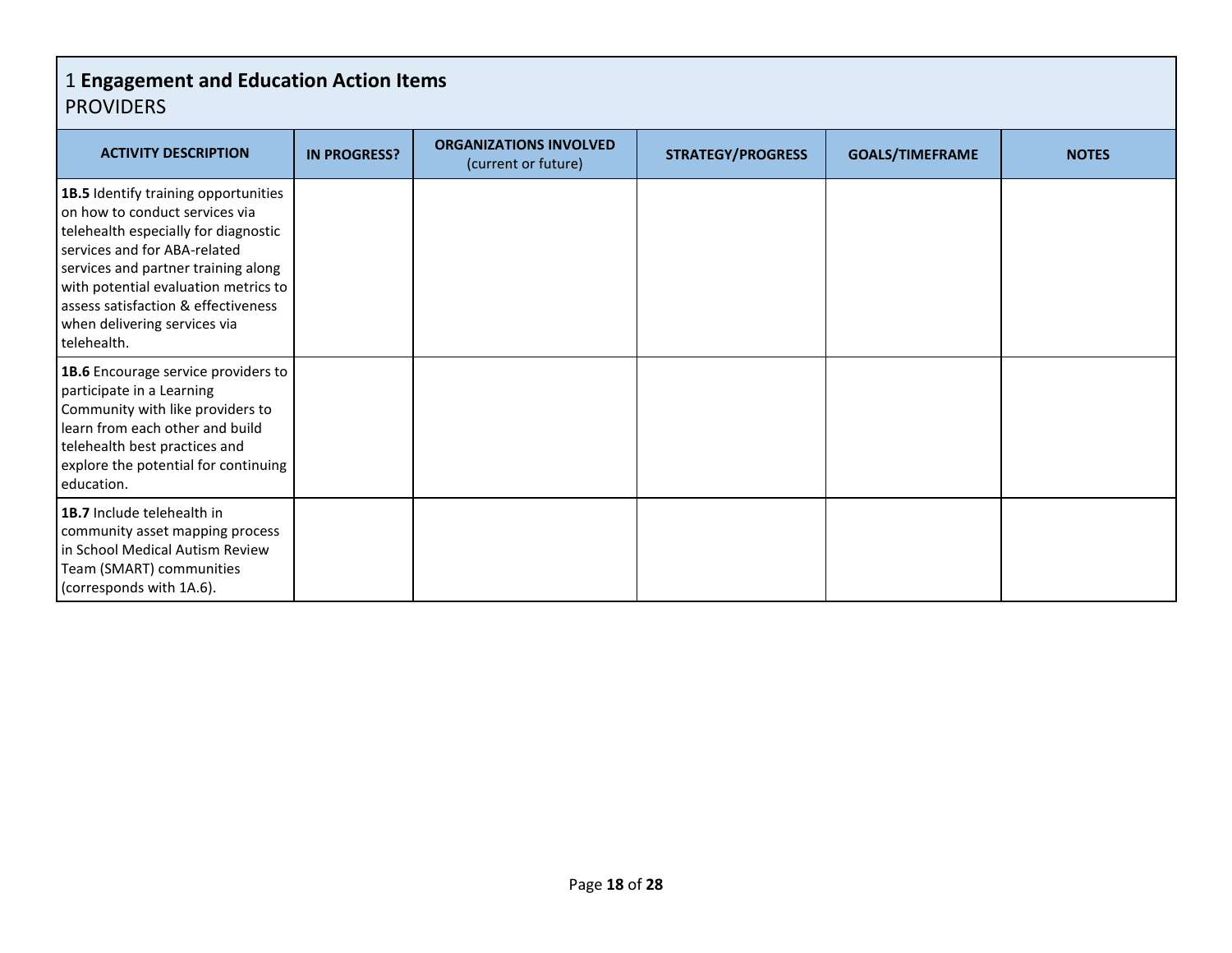| <b>ACTIVITY DESCRIPTION</b>                                                                                                                                                                                                                                                                                         | <b>IN PROGRESS?</b> | <b>ORGANIZATIONS INVOLVED</b><br>(current or future) | <b>STRATEGY/PROGRESS</b> | <b>GOALS/TIMEFRAME</b> | <b>NOTES</b> |
|---------------------------------------------------------------------------------------------------------------------------------------------------------------------------------------------------------------------------------------------------------------------------------------------------------------------|---------------------|------------------------------------------------------|--------------------------|------------------------|--------------|
| 1B.5 Identify training opportunities<br>on how to conduct services via<br>telehealth especially for diagnostic<br>services and for ABA-related<br>services and partner training along<br>with potential evaluation metrics to<br>assess satisfaction & effectiveness<br>when delivering services via<br>telehealth. |                     |                                                      |                          |                        |              |
| 1B.6 Encourage service providers to<br>participate in a Learning<br>Community with like providers to<br>learn from each other and build<br>telehealth best practices and<br>explore the potential for continuing<br>education.                                                                                      |                     |                                                      |                          |                        |              |
| 1B.7 Include telehealth in<br>community asset mapping process<br>in School Medical Autism Review<br>Team (SMART) communities<br>(corresponds with 1A.6).                                                                                                                                                            |                     |                                                      |                          |                        |              |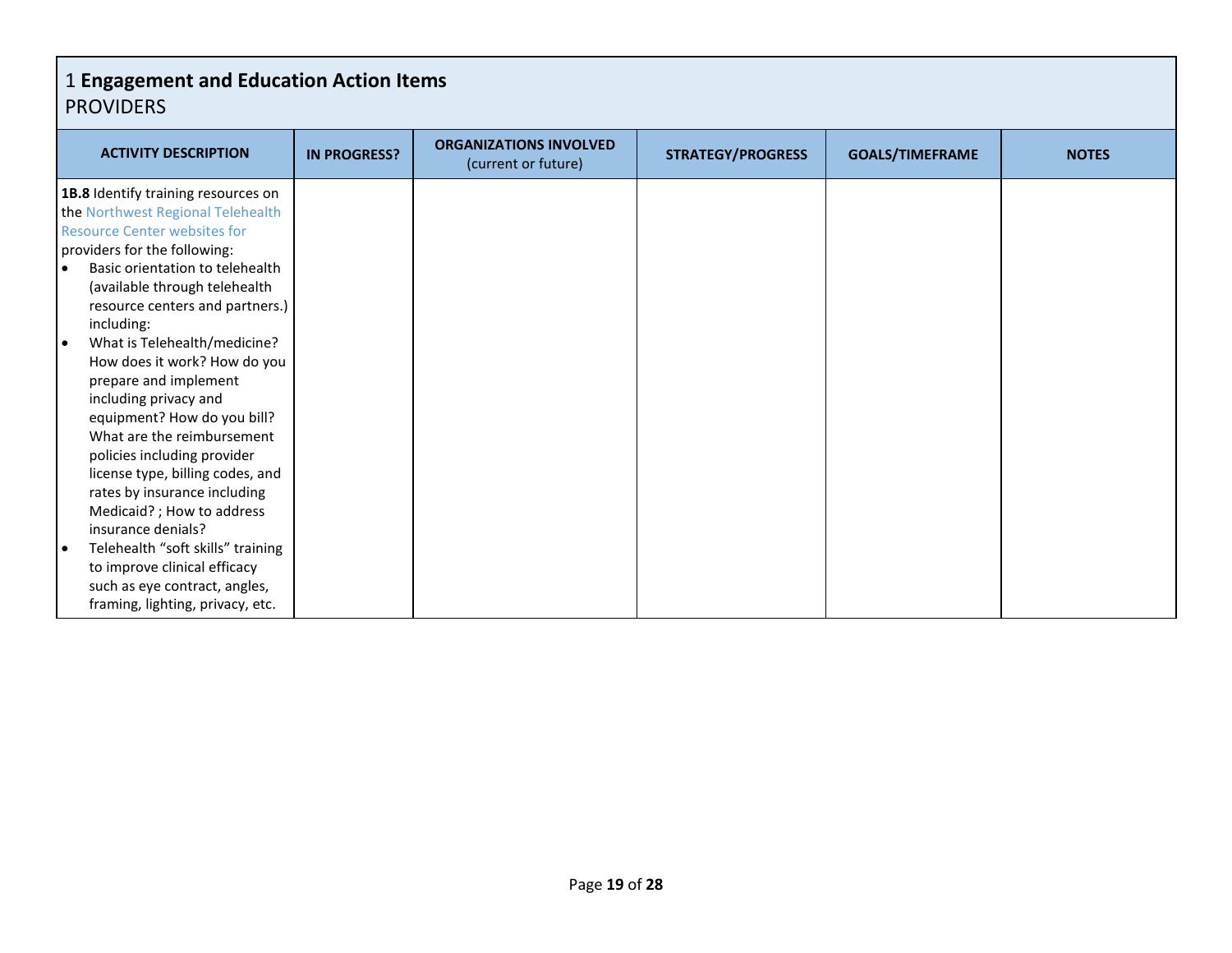| <b>ACTIVITY DESCRIPTION</b>                     | <b>IN PROGRESS?</b> | <b>ORGANIZATIONS INVOLVED</b><br>(current or future) | <b>STRATEGY/PROGRESS</b> | <b>GOALS/TIMEFRAME</b> | <b>NOTES</b> |
|-------------------------------------------------|---------------------|------------------------------------------------------|--------------------------|------------------------|--------------|
| 1B.8 Identify training resources on             |                     |                                                      |                          |                        |              |
| the Northwest Regional Telehealth               |                     |                                                      |                          |                        |              |
| <b>Resource Center websites for</b>             |                     |                                                      |                          |                        |              |
| providers for the following:                    |                     |                                                      |                          |                        |              |
| Basic orientation to telehealth                 |                     |                                                      |                          |                        |              |
| (available through telehealth                   |                     |                                                      |                          |                        |              |
| resource centers and partners.)                 |                     |                                                      |                          |                        |              |
| including:                                      |                     |                                                      |                          |                        |              |
| What is Telehealth/medicine?<br>$\bullet$       |                     |                                                      |                          |                        |              |
| How does it work? How do you                    |                     |                                                      |                          |                        |              |
| prepare and implement                           |                     |                                                      |                          |                        |              |
| including privacy and                           |                     |                                                      |                          |                        |              |
| equipment? How do you bill?                     |                     |                                                      |                          |                        |              |
| What are the reimbursement                      |                     |                                                      |                          |                        |              |
| policies including provider                     |                     |                                                      |                          |                        |              |
| license type, billing codes, and                |                     |                                                      |                          |                        |              |
| rates by insurance including                    |                     |                                                      |                          |                        |              |
| Medicaid?; How to address<br>insurance denials? |                     |                                                      |                          |                        |              |
| Telehealth "soft skills" training               |                     |                                                      |                          |                        |              |
| to improve clinical efficacy                    |                     |                                                      |                          |                        |              |
| such as eye contract, angles,                   |                     |                                                      |                          |                        |              |
| framing, lighting, privacy, etc.                |                     |                                                      |                          |                        |              |
|                                                 |                     |                                                      |                          |                        |              |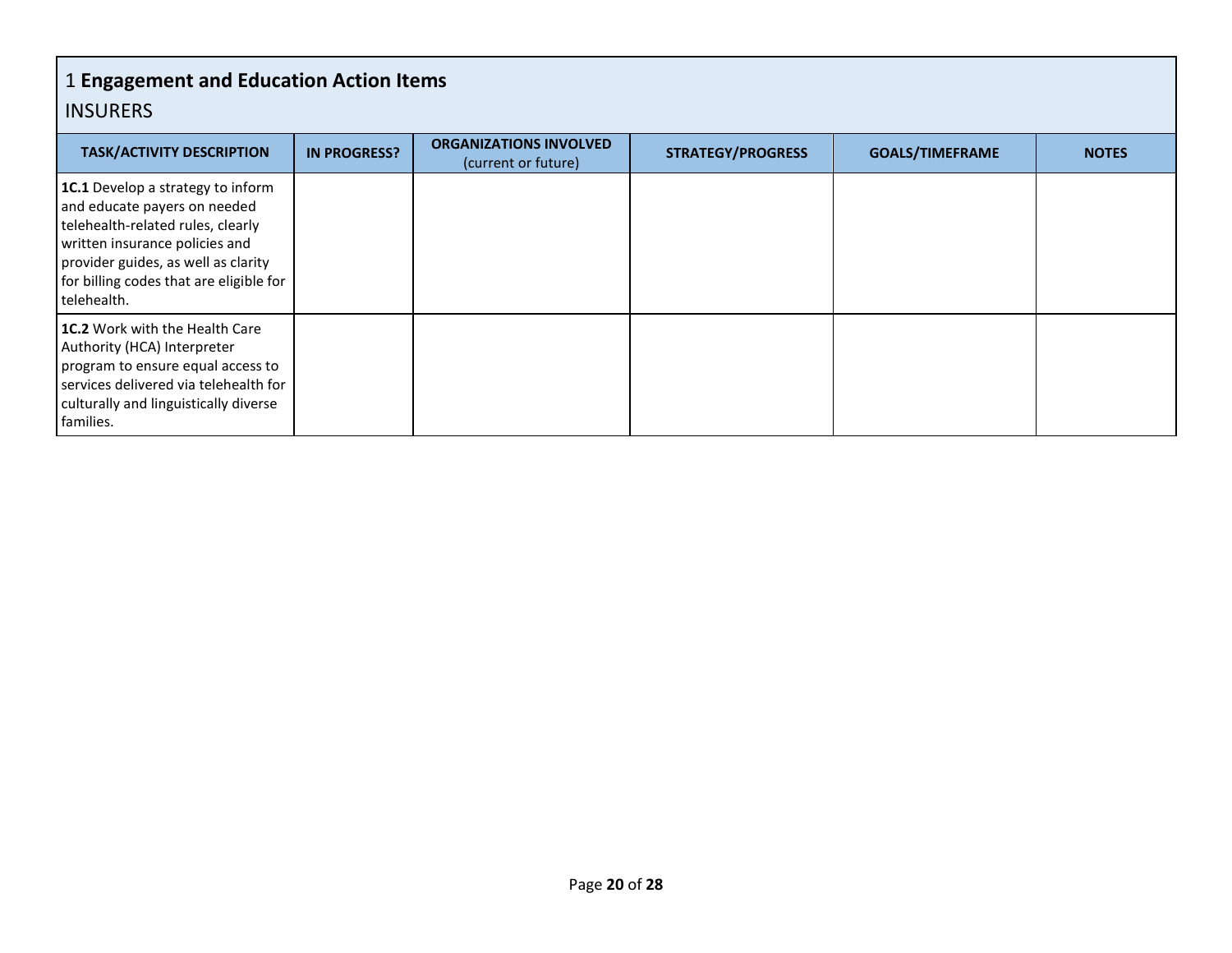| <b>TASK/ACTIVITY DESCRIPTION</b>                                                                                                                                                                                                                 | <b>IN PROGRESS?</b> | <b>ORGANIZATIONS INVOLVED</b><br>(current or future) | <b>STRATEGY/PROGRESS</b> | <b>GOALS/TIMEFRAME</b> | <b>NOTES</b> |
|--------------------------------------------------------------------------------------------------------------------------------------------------------------------------------------------------------------------------------------------------|---------------------|------------------------------------------------------|--------------------------|------------------------|--------------|
| <b>1C.1</b> Develop a strategy to inform<br>and educate payers on needed<br>telehealth-related rules, clearly<br>written insurance policies and<br>provider guides, as well as clarity<br>for billing codes that are eligible for<br>telehealth. |                     |                                                      |                          |                        |              |
| <b>1C.2</b> Work with the Health Care<br>Authority (HCA) Interpreter<br>program to ensure equal access to<br>services delivered via telehealth for<br>culturally and linguistically diverse<br>families.                                         |                     |                                                      |                          |                        |              |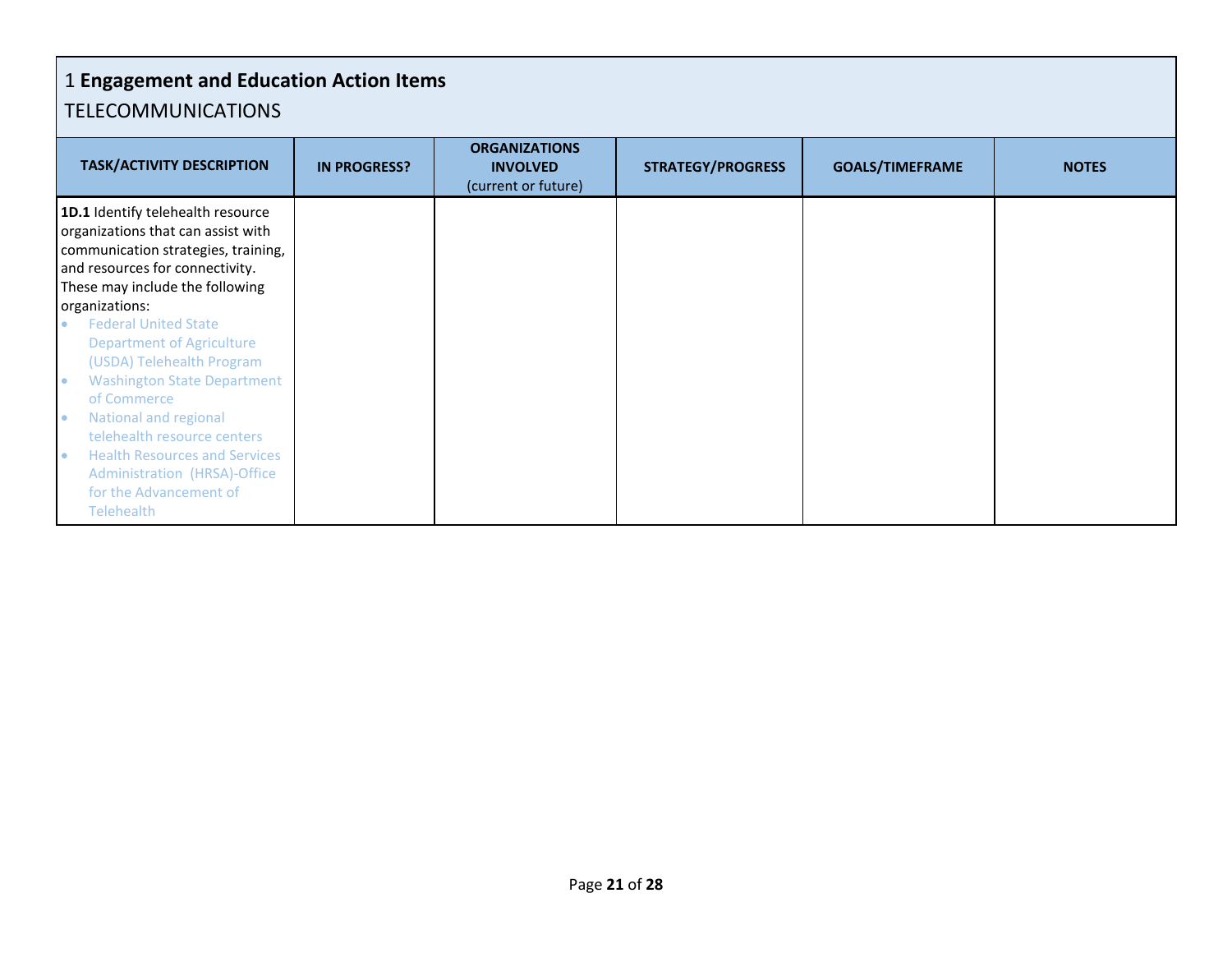## 1 **Engagement and Education Action Items** TELECOMMUNICATIONS

| <b>TASK/ACTIVITY DESCRIPTION</b>                                                                                                                                                                                                                                                                                                 | <b>IN PROGRESS?</b> | <b>ORGANIZATIONS</b><br><b>INVOLVED</b><br>(current or future) | <b>STRATEGY/PROGRESS</b> | <b>GOALS/TIMEFRAME</b> | <b>NOTES</b> |
|----------------------------------------------------------------------------------------------------------------------------------------------------------------------------------------------------------------------------------------------------------------------------------------------------------------------------------|---------------------|----------------------------------------------------------------|--------------------------|------------------------|--------------|
| 1D.1 Identify telehealth resource<br>organizations that can assist with<br>communication strategies, training,<br>and resources for connectivity.<br>These may include the following<br>organizations:                                                                                                                           |                     |                                                                |                          |                        |              |
| <b>Federal United State</b><br><b>Department of Agriculture</b><br>(USDA) Telehealth Program<br><b>Washington State Department</b><br>of Commerce<br>National and regional<br>telehealth resource centers<br><b>Health Resources and Services</b><br>Administration (HRSA)-Office<br>for the Advancement of<br><b>Telehealth</b> |                     |                                                                |                          |                        |              |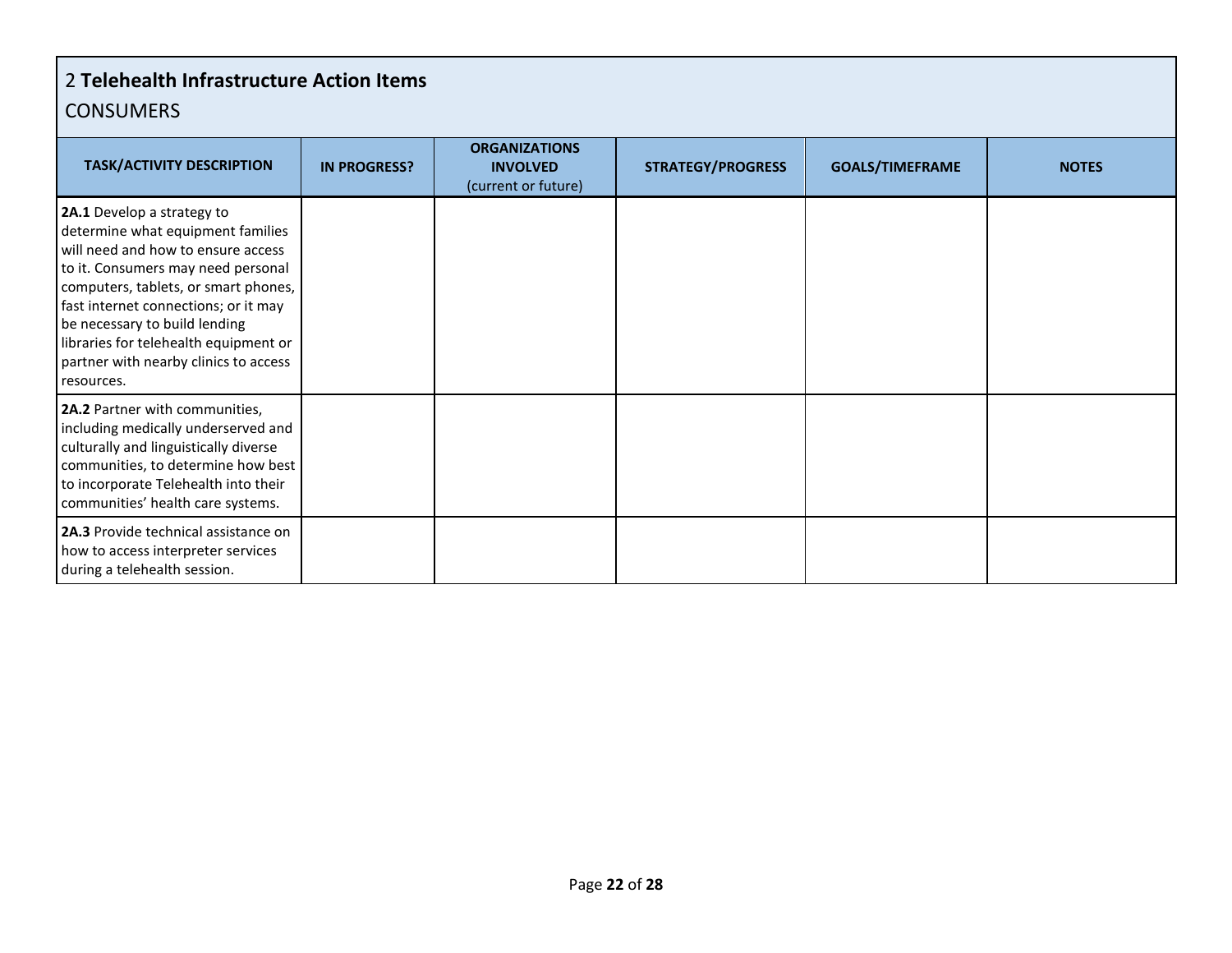## 2 **Telehealth Infrastructure Action Items CONSUMERS**

| <b>TASK/ACTIVITY DESCRIPTION</b>                                                                                                                                                                                                                                                                                                                             | <b>IN PROGRESS?</b> | <b>ORGANIZATIONS</b><br><b>INVOLVED</b><br>(current or future) | <b>STRATEGY/PROGRESS</b> | <b>GOALS/TIMEFRAME</b> | <b>NOTES</b> |
|--------------------------------------------------------------------------------------------------------------------------------------------------------------------------------------------------------------------------------------------------------------------------------------------------------------------------------------------------------------|---------------------|----------------------------------------------------------------|--------------------------|------------------------|--------------|
| 2A.1 Develop a strategy to<br>determine what equipment families<br>will need and how to ensure access<br>to it. Consumers may need personal<br>computers, tablets, or smart phones,<br>fast internet connections; or it may<br>be necessary to build lending<br>libraries for telehealth equipment or<br>partner with nearby clinics to access<br>resources. |                     |                                                                |                          |                        |              |
| 2A.2 Partner with communities,<br>including medically underserved and<br>culturally and linguistically diverse<br>communities, to determine how best<br>to incorporate Telehealth into their<br>communities' health care systems.                                                                                                                            |                     |                                                                |                          |                        |              |
| 2A.3 Provide technical assistance on<br>how to access interpreter services<br>during a telehealth session.                                                                                                                                                                                                                                                   |                     |                                                                |                          |                        |              |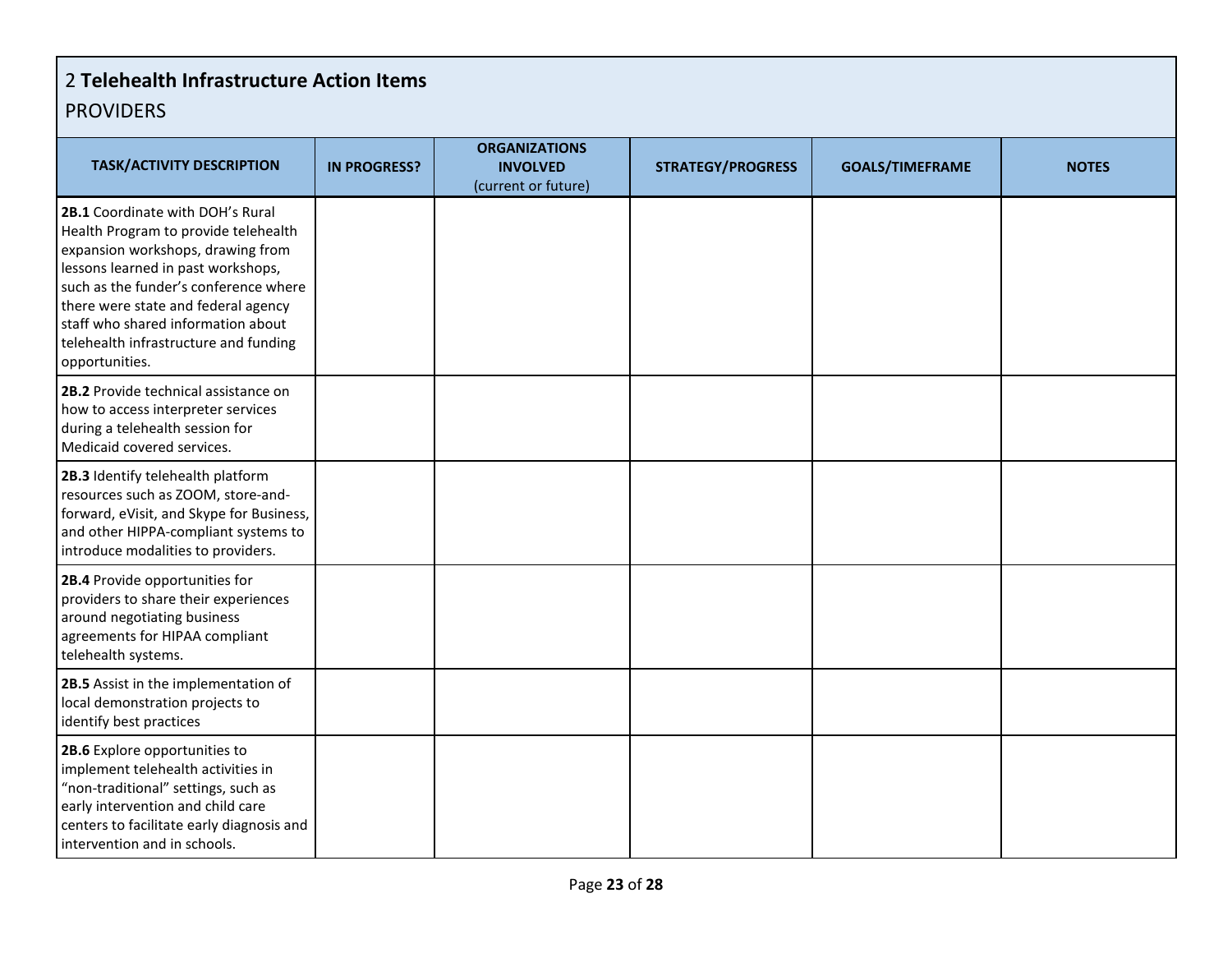## 2 **Telehealth Infrastructure Action Items** PROVIDERS

| <b>TASK/ACTIVITY DESCRIPTION</b>                                                                                                                                                                                                                                                                                                     | <b>IN PROGRESS?</b> | <b>ORGANIZATIONS</b><br><b>INVOLVED</b> | <b>STRATEGY/PROGRESS</b> | <b>GOALS/TIMEFRAME</b> | <b>NOTES</b> |
|--------------------------------------------------------------------------------------------------------------------------------------------------------------------------------------------------------------------------------------------------------------------------------------------------------------------------------------|---------------------|-----------------------------------------|--------------------------|------------------------|--------------|
| 2B.1 Coordinate with DOH's Rural<br>Health Program to provide telehealth<br>expansion workshops, drawing from<br>lessons learned in past workshops,<br>such as the funder's conference where<br>there were state and federal agency<br>staff who shared information about<br>telehealth infrastructure and funding<br>opportunities. |                     | (current or future)                     |                          |                        |              |
| 2B.2 Provide technical assistance on<br>how to access interpreter services<br>during a telehealth session for<br>Medicaid covered services.                                                                                                                                                                                          |                     |                                         |                          |                        |              |
| 2B.3 Identify telehealth platform<br>resources such as ZOOM, store-and-<br>forward, eVisit, and Skype for Business,<br>and other HIPPA-compliant systems to<br>introduce modalities to providers.                                                                                                                                    |                     |                                         |                          |                        |              |
| 2B.4 Provide opportunities for<br>providers to share their experiences<br>around negotiating business<br>agreements for HIPAA compliant<br>telehealth systems.                                                                                                                                                                       |                     |                                         |                          |                        |              |
| 2B.5 Assist in the implementation of<br>local demonstration projects to<br>identify best practices                                                                                                                                                                                                                                   |                     |                                         |                          |                        |              |
| 2B.6 Explore opportunities to<br>implement telehealth activities in<br>"non-traditional" settings, such as<br>early intervention and child care<br>centers to facilitate early diagnosis and<br>intervention and in schools.                                                                                                         |                     |                                         |                          |                        |              |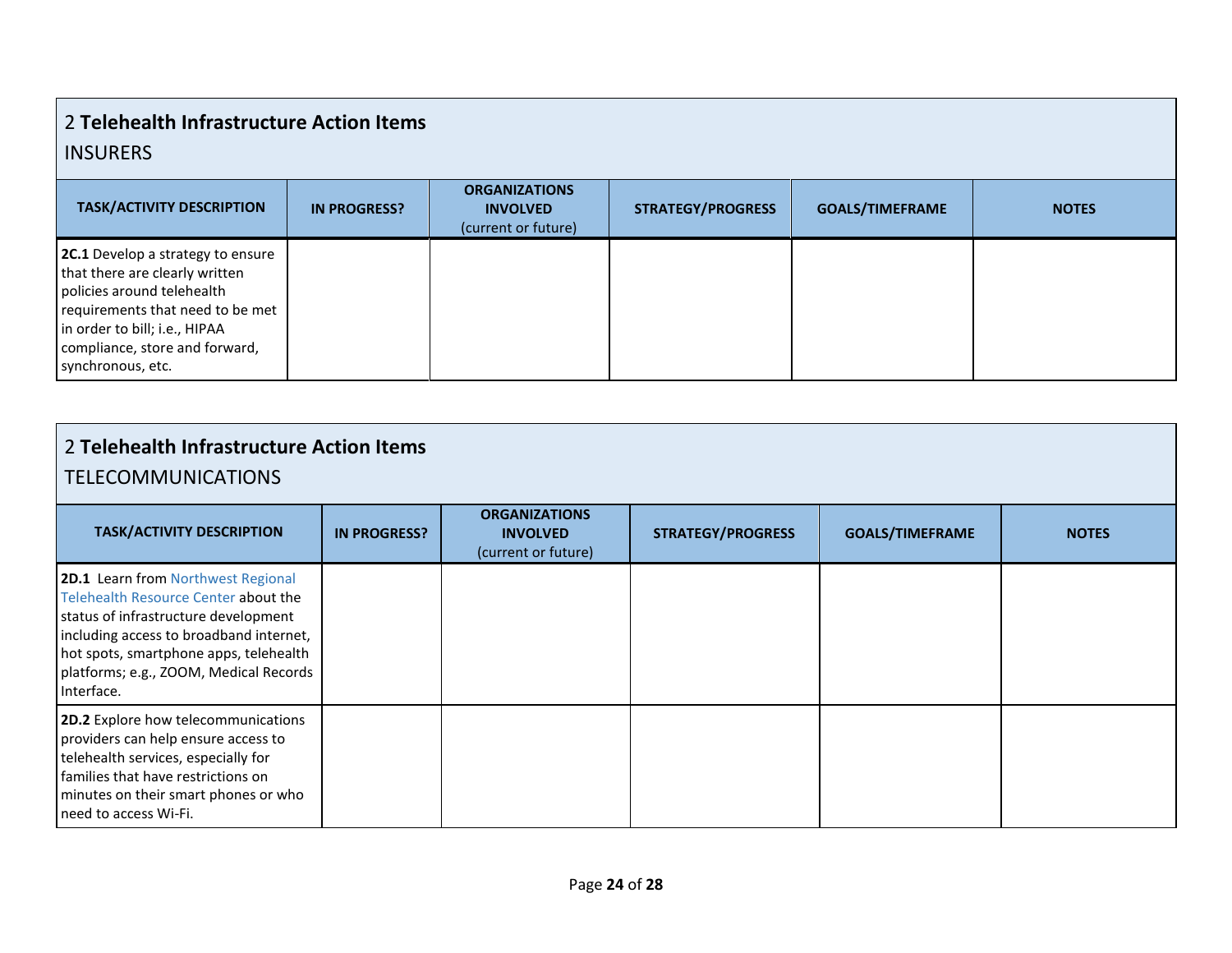## 2 **Telehealth Infrastructure Action Items** INSURERS

| <b>TASK/ACTIVITY DESCRIPTION</b>                                                                                                                                                                                              | <b>IN PROGRESS?</b> | <b>ORGANIZATIONS</b><br><b>INVOLVED</b><br>(current or future) | <b>STRATEGY/PROGRESS</b> | <b>GOALS/TIMEFRAME</b> | <b>NOTES</b> |
|-------------------------------------------------------------------------------------------------------------------------------------------------------------------------------------------------------------------------------|---------------------|----------------------------------------------------------------|--------------------------|------------------------|--------------|
| 2C.1 Develop a strategy to ensure<br>that there are clearly written<br>policies around telehealth<br>requirements that need to be met<br>in order to bill; i.e., HIPAA<br>compliance, store and forward,<br>synchronous, etc. |                     |                                                                |                          |                        |              |

| 2 Telehealth Infrastructure Action Items<br><b>TELECOMMUNICATIONS</b>                                                                                                                                                                                           |                     |                                                                |                          |                        |              |  |
|-----------------------------------------------------------------------------------------------------------------------------------------------------------------------------------------------------------------------------------------------------------------|---------------------|----------------------------------------------------------------|--------------------------|------------------------|--------------|--|
| <b>TASK/ACTIVITY DESCRIPTION</b>                                                                                                                                                                                                                                | <b>IN PROGRESS?</b> | <b>ORGANIZATIONS</b><br><b>INVOLVED</b><br>(current or future) | <b>STRATEGY/PROGRESS</b> | <b>GOALS/TIMEFRAME</b> | <b>NOTES</b> |  |
| 2D.1 Learn from Northwest Regional<br>Telehealth Resource Center about the<br>status of infrastructure development<br>including access to broadband internet,<br>hot spots, smartphone apps, telehealth<br>platforms; e.g., ZOOM, Medical Records<br>Interface. |                     |                                                                |                          |                        |              |  |
| 2D.2 Explore how telecommunications<br>providers can help ensure access to<br>telehealth services, especially for<br>families that have restrictions on<br>minutes on their smart phones or who<br>need to access Wi-Fi.                                        |                     |                                                                |                          |                        |              |  |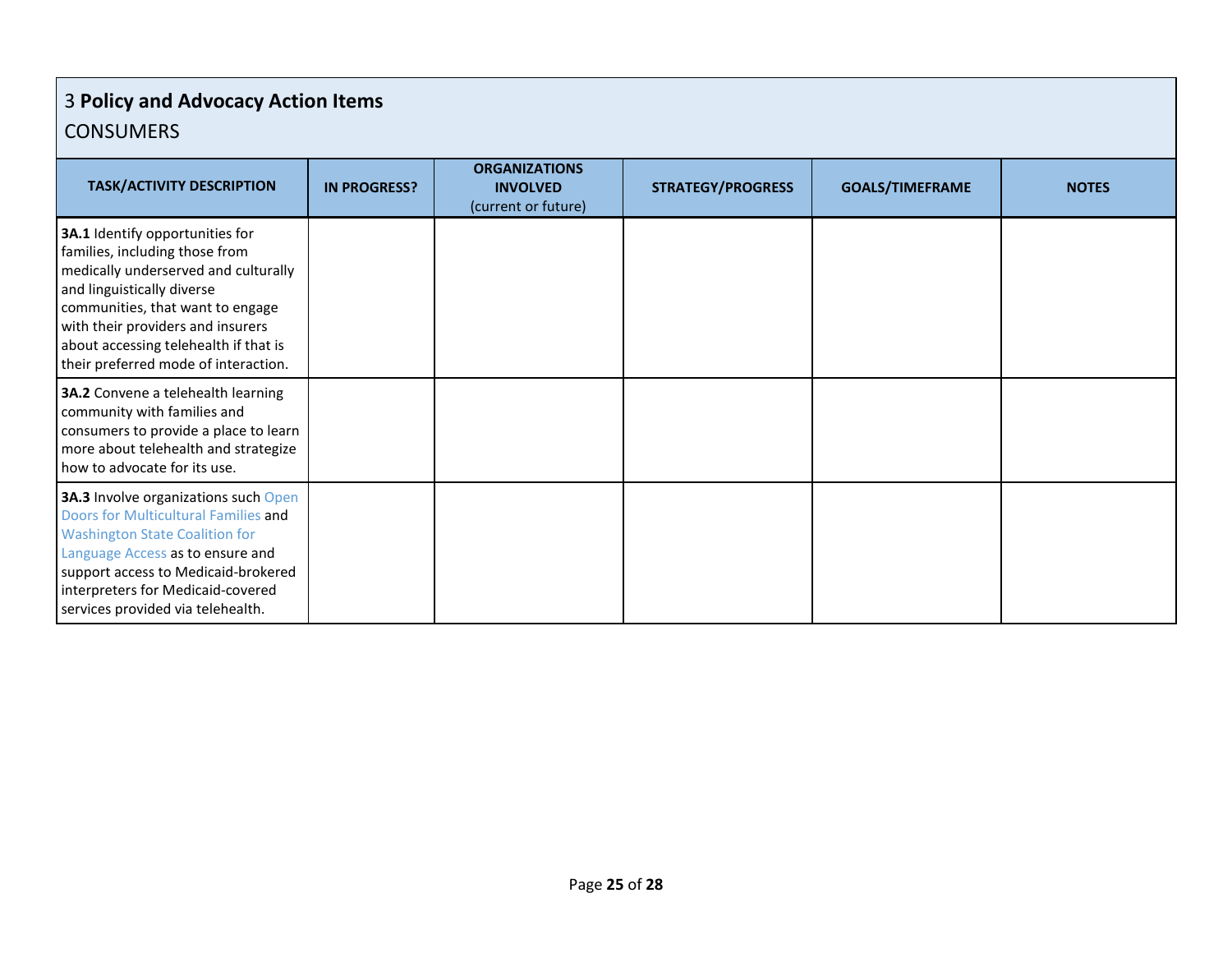## 3 **Policy and Advocacy Action Items** CONSUMERS

| <b>TASK/ACTIVITY DESCRIPTION</b>                                                                                                                                                                                                                                                                  | <b>IN PROGRESS?</b> | <b>ORGANIZATIONS</b><br><b>INVOLVED</b><br>(current or future) | <b>STRATEGY/PROGRESS</b> | <b>GOALS/TIMEFRAME</b> | <b>NOTES</b> |
|---------------------------------------------------------------------------------------------------------------------------------------------------------------------------------------------------------------------------------------------------------------------------------------------------|---------------------|----------------------------------------------------------------|--------------------------|------------------------|--------------|
| 3A.1 Identify opportunities for<br>families, including those from<br>medically underserved and culturally<br>and linguistically diverse<br>communities, that want to engage<br>with their providers and insurers<br>about accessing telehealth if that is<br>their preferred mode of interaction. |                     |                                                                |                          |                        |              |
| 3A.2 Convene a telehealth learning<br>community with families and<br>consumers to provide a place to learn<br>more about telehealth and strategize<br>how to advocate for its use.                                                                                                                |                     |                                                                |                          |                        |              |
| 3A.3 Involve organizations such Open<br>Doors for Multicultural Families and<br><b>Washington State Coalition for</b><br>Language Access as to ensure and<br>support access to Medicaid-brokered<br>interpreters for Medicaid-covered<br>services provided via telehealth.                        |                     |                                                                |                          |                        |              |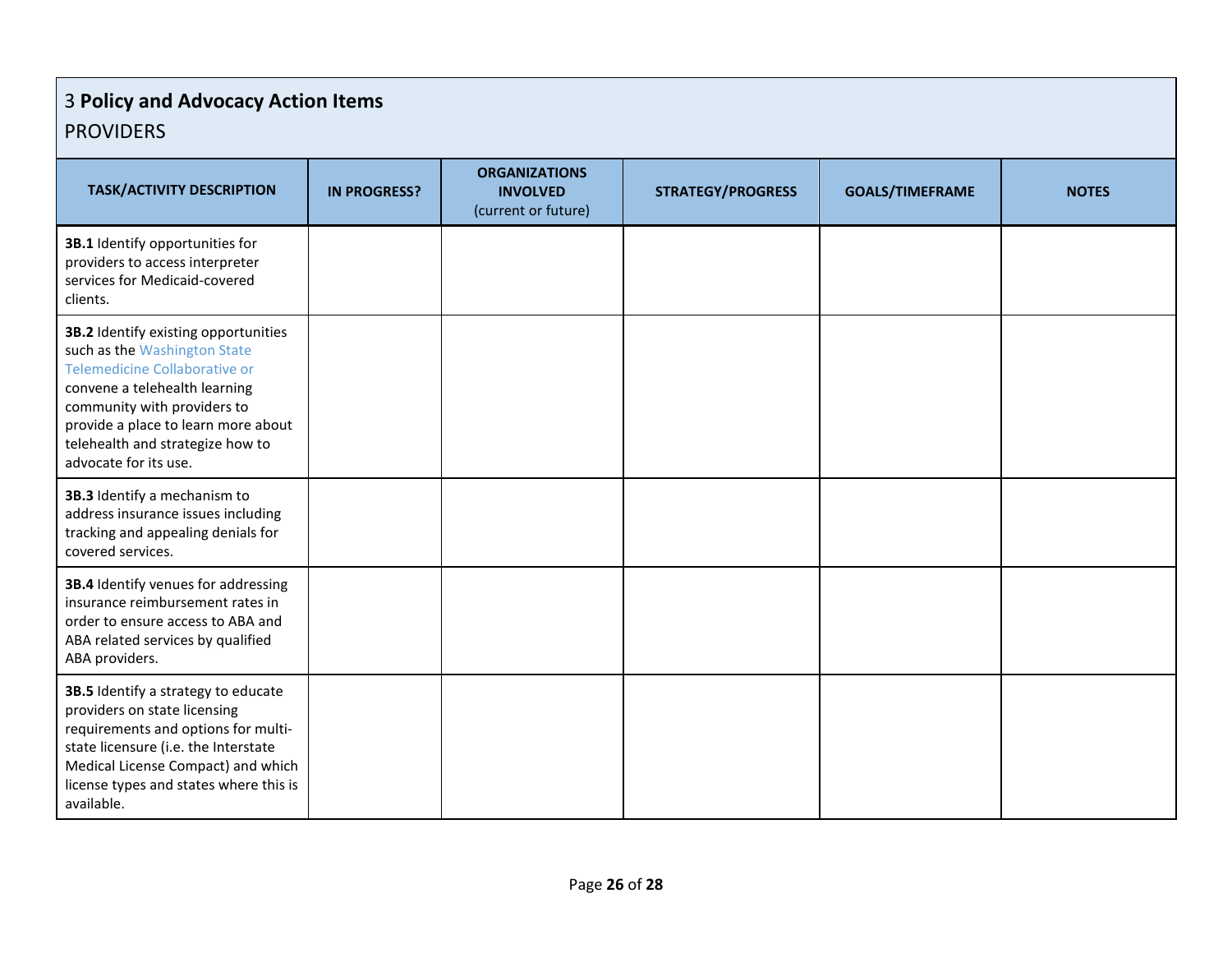## 3 **Policy and Advocacy Action Items** PROVIDERS

| <b>TASK/ACTIVITY DESCRIPTION</b>                                                                                                                                                                                                                                          | <b>IN PROGRESS?</b> | <b>ORGANIZATIONS</b><br><b>INVOLVED</b><br>(current or future) | <b>STRATEGY/PROGRESS</b> | <b>GOALS/TIMEFRAME</b> | <b>NOTES</b> |
|---------------------------------------------------------------------------------------------------------------------------------------------------------------------------------------------------------------------------------------------------------------------------|---------------------|----------------------------------------------------------------|--------------------------|------------------------|--------------|
| 3B.1 Identify opportunities for<br>providers to access interpreter<br>services for Medicaid-covered<br>clients.                                                                                                                                                           |                     |                                                                |                          |                        |              |
| 3B.2 Identify existing opportunities<br>such as the Washington State<br>Telemedicine Collaborative or<br>convene a telehealth learning<br>community with providers to<br>provide a place to learn more about<br>telehealth and strategize how to<br>advocate for its use. |                     |                                                                |                          |                        |              |
| 3B.3 Identify a mechanism to<br>address insurance issues including<br>tracking and appealing denials for<br>covered services.                                                                                                                                             |                     |                                                                |                          |                        |              |
| 3B.4 Identify venues for addressing<br>insurance reimbursement rates in<br>order to ensure access to ABA and<br>ABA related services by qualified<br>ABA providers.                                                                                                       |                     |                                                                |                          |                        |              |
| 3B.5 Identify a strategy to educate<br>providers on state licensing<br>requirements and options for multi-<br>state licensure (i.e. the Interstate<br>Medical License Compact) and which<br>license types and states where this is<br>available.                          |                     |                                                                |                          |                        |              |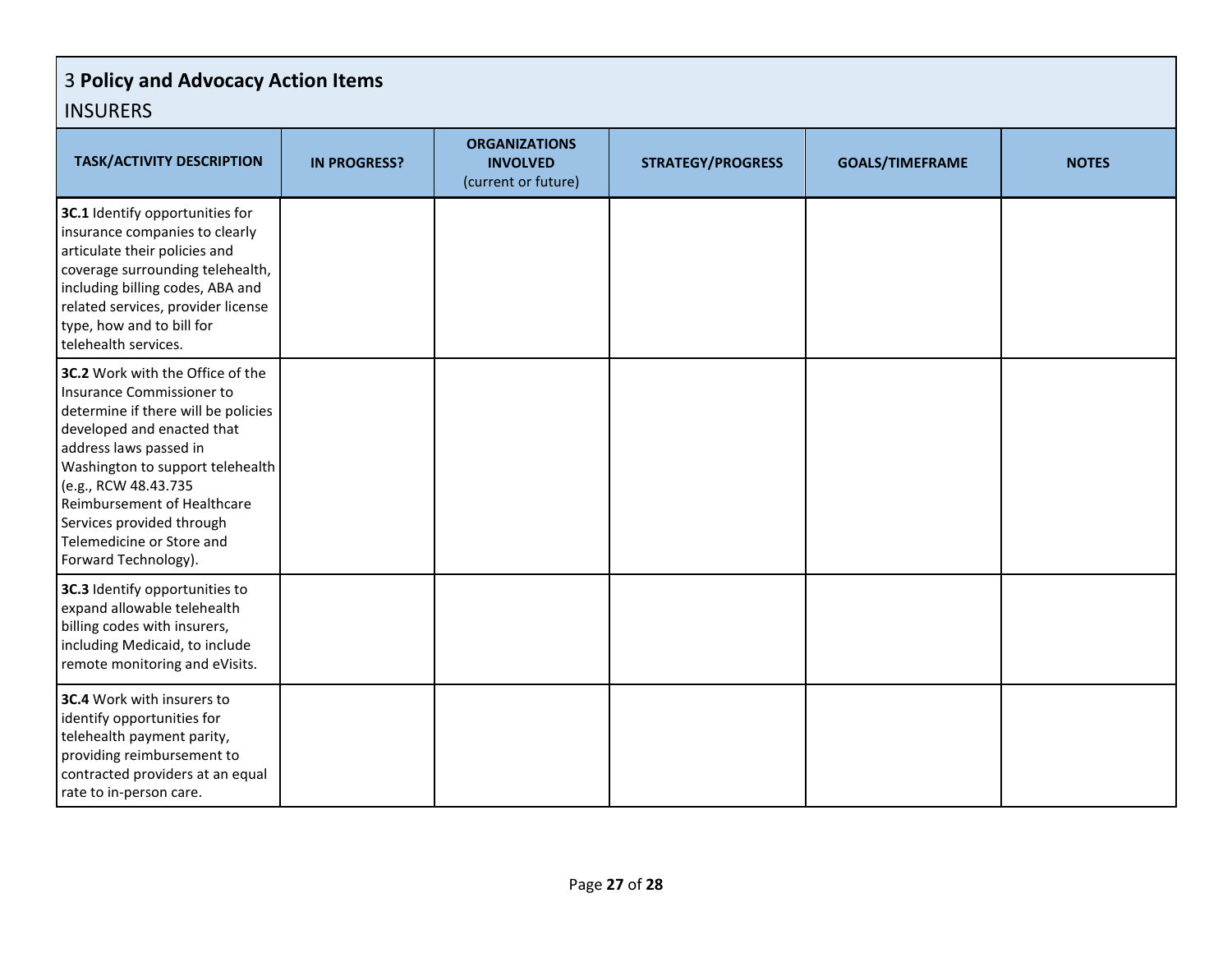## 3 **Policy and Advocacy Action Items** INSURERS

| .                                                                                                                                                                                                                                                                                                                                         |                     |                                                                |                          |                        |              |
|-------------------------------------------------------------------------------------------------------------------------------------------------------------------------------------------------------------------------------------------------------------------------------------------------------------------------------------------|---------------------|----------------------------------------------------------------|--------------------------|------------------------|--------------|
| <b>TASK/ACTIVITY DESCRIPTION</b>                                                                                                                                                                                                                                                                                                          | <b>IN PROGRESS?</b> | <b>ORGANIZATIONS</b><br><b>INVOLVED</b><br>(current or future) | <b>STRATEGY/PROGRESS</b> | <b>GOALS/TIMEFRAME</b> | <b>NOTES</b> |
| 3C.1 Identify opportunities for<br>insurance companies to clearly<br>articulate their policies and<br>coverage surrounding telehealth,<br>including billing codes, ABA and<br>related services, provider license<br>type, how and to bill for<br>telehealth services.                                                                     |                     |                                                                |                          |                        |              |
| 3C.2 Work with the Office of the<br>Insurance Commissioner to<br>determine if there will be policies<br>developed and enacted that<br>address laws passed in<br>Washington to support telehealth<br>(e.g., RCW 48.43.735<br>Reimbursement of Healthcare<br>Services provided through<br>Telemedicine or Store and<br>Forward Technology). |                     |                                                                |                          |                        |              |
| 3C.3 Identify opportunities to<br>expand allowable telehealth<br>billing codes with insurers,<br>including Medicaid, to include<br>remote monitoring and eVisits.                                                                                                                                                                         |                     |                                                                |                          |                        |              |
| 3C.4 Work with insurers to<br>identify opportunities for<br>telehealth payment parity,<br>providing reimbursement to<br>contracted providers at an equal<br>rate to in-person care.                                                                                                                                                       |                     |                                                                |                          |                        |              |